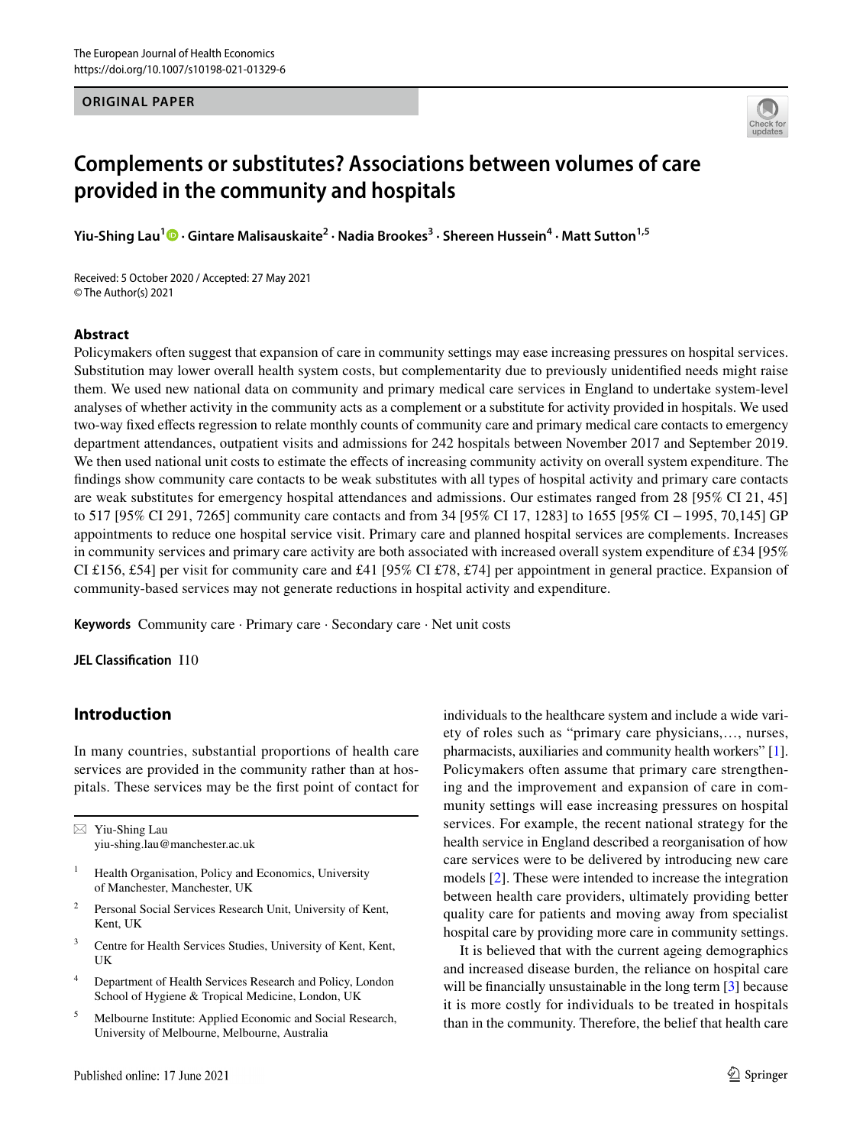## **ORIGINAL PAPER**



# **Complements or substitutes? Associations between volumes of care provided in the community and hospitals**

**Yiu-ShingLau<sup>1</sup><sup>®</sup> • Gintare Malisauskaite<sup>2</sup> • Nadia Brookes<sup>3</sup> • Shereen Hussein<sup>4</sup> • Matt Sutton<sup>1,5</sup>** 

Received: 5 October 2020 / Accepted: 27 May 2021 © The Author(s) 2021

## **Abstract**

Policymakers often suggest that expansion of care in community settings may ease increasing pressures on hospital services. Substitution may lower overall health system costs, but complementarity due to previously unidentifed needs might raise them. We used new national data on community and primary medical care services in England to undertake system-level analyses of whether activity in the community acts as a complement or a substitute for activity provided in hospitals. We used two-way fxed efects regression to relate monthly counts of community care and primary medical care contacts to emergency department attendances, outpatient visits and admissions for 242 hospitals between November 2017 and September 2019. We then used national unit costs to estimate the effects of increasing community activity on overall system expenditure. The fndings show community care contacts to be weak substitutes with all types of hospital activity and primary care contacts are weak substitutes for emergency hospital attendances and admissions. Our estimates ranged from 28 [95% CI 21, 45] to 517 [95% CI 291, 7265] community care contacts and from 34 [95% CI 17, 1283] to 1655 [95% CI −1995, 70,145] GP appointments to reduce one hospital service visit. Primary care and planned hospital services are complements. Increases in community services and primary care activity are both associated with increased overall system expenditure of  $\text{\pounds}34$  [95% CI £156, £54] per visit for community care and £41 [95% CI £78, £74] per appointment in general practice. Expansion of community-based services may not generate reductions in hospital activity and expenditure.

**Keywords** Community care · Primary care · Secondary care · Net unit costs

**JEL Classifcation** I10

# **Introduction**

In many countries, substantial proportions of health care services are provided in the community rather than at hospitals. These services may be the frst point of contact for

 $\boxtimes$  Yiu-Shing Lau yiu-shing.lau@manchester.ac.uk

- Health Organisation, Policy and Economics, University of Manchester, Manchester, UK
- <sup>2</sup> Personal Social Services Research Unit, University of Kent, Kent, UK
- <sup>3</sup> Centre for Health Services Studies, University of Kent, Kent, UK
- <sup>4</sup> Department of Health Services Research and Policy, London School of Hygiene & Tropical Medicine, London, UK
- <sup>5</sup> Melbourne Institute: Applied Economic and Social Research, University of Melbourne, Melbourne, Australia

individuals to the healthcare system and include a wide variety of roles such as "primary care physicians,…, nurses, pharmacists, auxiliaries and community health workers" [[1](#page-13-0)]. Policymakers often assume that primary care strengthening and the improvement and expansion of care in community settings will ease increasing pressures on hospital services. For example, the recent national strategy for the health service in England described a reorganisation of how care services were to be delivered by introducing new care models [\[2](#page-13-1)]. These were intended to increase the integration between health care providers, ultimately providing better quality care for patients and moving away from specialist hospital care by providing more care in community settings.

It is believed that with the current ageing demographics and increased disease burden, the reliance on hospital care will be financially unsustainable in the long term [[3](#page-13-2)] because it is more costly for individuals to be treated in hospitals than in the community. Therefore, the belief that health care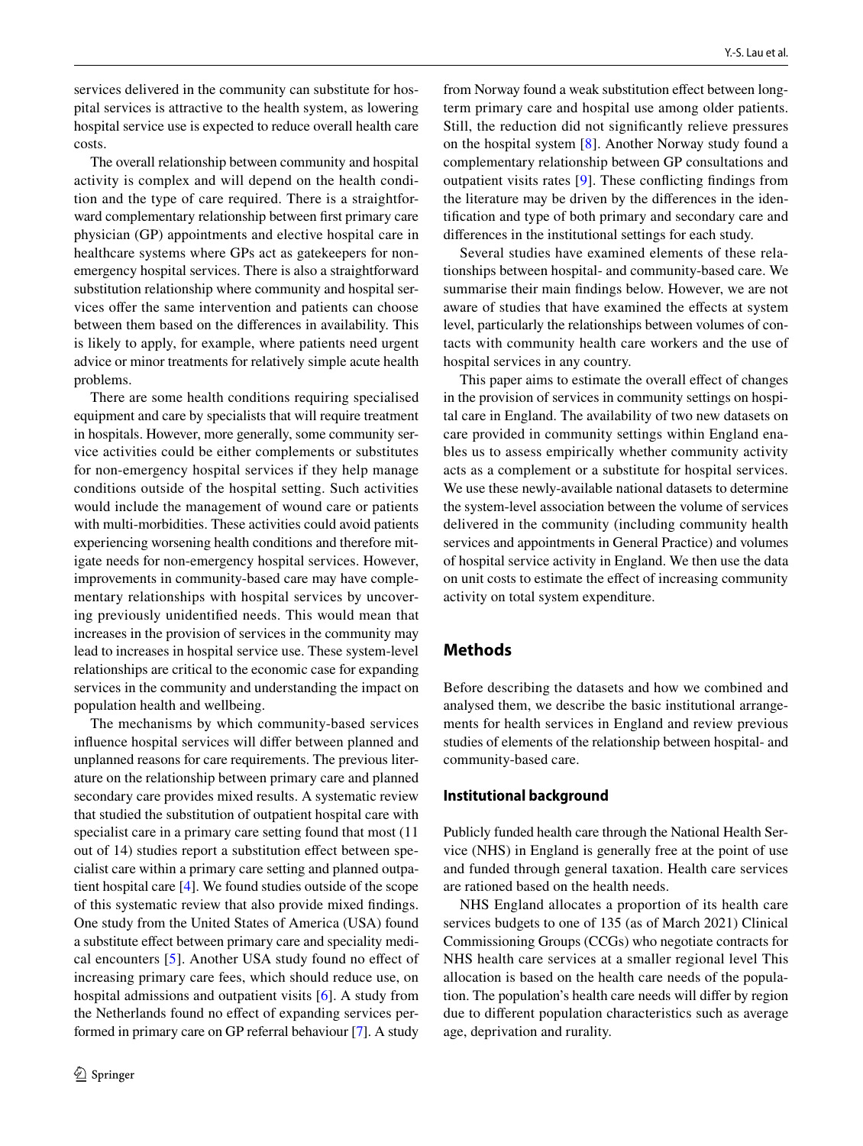services delivered in the community can substitute for hospital services is attractive to the health system, as lowering hospital service use is expected to reduce overall health care costs.

The overall relationship between community and hospital activity is complex and will depend on the health condition and the type of care required. There is a straightforward complementary relationship between frst primary care physician (GP) appointments and elective hospital care in healthcare systems where GPs act as gatekeepers for nonemergency hospital services. There is also a straightforward substitution relationship where community and hospital services offer the same intervention and patients can choose between them based on the diferences in availability. This is likely to apply, for example, where patients need urgent advice or minor treatments for relatively simple acute health problems.

There are some health conditions requiring specialised equipment and care by specialists that will require treatment in hospitals. However, more generally, some community service activities could be either complements or substitutes for non-emergency hospital services if they help manage conditions outside of the hospital setting. Such activities would include the management of wound care or patients with multi-morbidities. These activities could avoid patients experiencing worsening health conditions and therefore mitigate needs for non-emergency hospital services. However, improvements in community-based care may have complementary relationships with hospital services by uncovering previously unidentifed needs. This would mean that increases in the provision of services in the community may lead to increases in hospital service use. These system-level relationships are critical to the economic case for expanding services in the community and understanding the impact on population health and wellbeing.

The mechanisms by which community-based services infuence hospital services will difer between planned and unplanned reasons for care requirements. The previous literature on the relationship between primary care and planned secondary care provides mixed results. A systematic review that studied the substitution of outpatient hospital care with specialist care in a primary care setting found that most  $(11)$ out of 14) studies report a substitution effect between specialist care within a primary care setting and planned outpatient hospital care [[4\]](#page-13-3). We found studies outside of the scope of this systematic review that also provide mixed fndings. One study from the United States of America (USA) found a substitute efect between primary care and speciality medical encounters [[5\]](#page-13-4). Another USA study found no efect of increasing primary care fees, which should reduce use, on hospital admissions and outpatient visits [\[6\]](#page-13-5). A study from the Netherlands found no efect of expanding services performed in primary care on GP referral behaviour [[7\]](#page-13-6). A study from Norway found a weak substitution effect between longterm primary care and hospital use among older patients. Still, the reduction did not signifcantly relieve pressures on the hospital system [[8\]](#page-13-7). Another Norway study found a complementary relationship between GP consultations and outpatient visits rates [[9\]](#page-13-8). These conficting fndings from the literature may be driven by the diferences in the identifcation and type of both primary and secondary care and diferences in the institutional settings for each study.

Several studies have examined elements of these relationships between hospital- and community-based care. We summarise their main fndings below. However, we are not aware of studies that have examined the effects at system level, particularly the relationships between volumes of contacts with community health care workers and the use of hospital services in any country.

This paper aims to estimate the overall effect of changes in the provision of services in community settings on hospital care in England. The availability of two new datasets on care provided in community settings within England enables us to assess empirically whether community activity acts as a complement or a substitute for hospital services. We use these newly-available national datasets to determine the system-level association between the volume of services delivered in the community (including community health services and appointments in General Practice) and volumes of hospital service activity in England. We then use the data on unit costs to estimate the efect of increasing community activity on total system expenditure.

# **Methods**

Before describing the datasets and how we combined and analysed them, we describe the basic institutional arrangements for health services in England and review previous studies of elements of the relationship between hospital- and community-based care.

## **Institutional background**

Publicly funded health care through the National Health Service (NHS) in England is generally free at the point of use and funded through general taxation. Health care services are rationed based on the health needs.

NHS England allocates a proportion of its health care services budgets to one of 135 (as of March 2021) Clinical Commissioning Groups (CCGs) who negotiate contracts for NHS health care services at a smaller regional level This allocation is based on the health care needs of the population. The population's health care needs will difer by region due to diferent population characteristics such as average age, deprivation and rurality.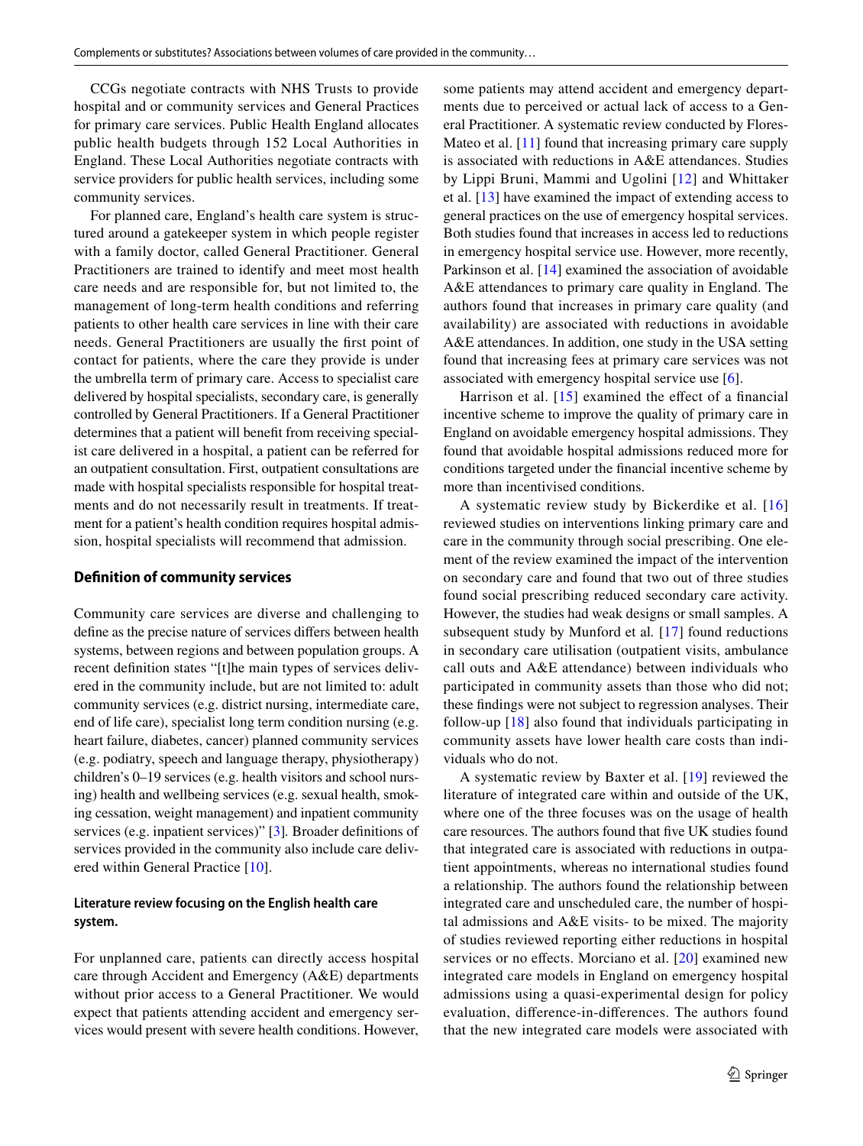CCGs negotiate contracts with NHS Trusts to provide hospital and or community services and General Practices for primary care services. Public Health England allocates public health budgets through 152 Local Authorities in England. These Local Authorities negotiate contracts with service providers for public health services, including some community services.

For planned care, England's health care system is structured around a gatekeeper system in which people register with a family doctor, called General Practitioner. General Practitioners are trained to identify and meet most health care needs and are responsible for, but not limited to, the management of long-term health conditions and referring patients to other health care services in line with their care needs. General Practitioners are usually the frst point of contact for patients, where the care they provide is under the umbrella term of primary care. Access to specialist care delivered by hospital specialists, secondary care, is generally controlled by General Practitioners. If a General Practitioner determines that a patient will beneft from receiving specialist care delivered in a hospital, a patient can be referred for an outpatient consultation. First, outpatient consultations are made with hospital specialists responsible for hospital treatments and do not necessarily result in treatments. If treatment for a patient's health condition requires hospital admission, hospital specialists will recommend that admission.

#### **Defnition of community services**

Community care services are diverse and challenging to defne as the precise nature of services difers between health systems, between regions and between population groups. A recent defnition states "[t]he main types of services delivered in the community include, but are not limited to: adult community services (e.g. district nursing, intermediate care, end of life care), specialist long term condition nursing (e.g. heart failure, diabetes, cancer) planned community services (e.g. podiatry, speech and language therapy, physiotherapy) children's 0–19 services (e.g. health visitors and school nursing) health and wellbeing services (e.g. sexual health, smoking cessation, weight management) and inpatient community services (e.g. inpatient services)" [[3\]](#page-13-2)*.* Broader defnitions of services provided in the community also include care delivered within General Practice [[10](#page-13-9)].

## **Literature review focusing on the English health care system.**

For unplanned care, patients can directly access hospital care through Accident and Emergency (A&E) departments without prior access to a General Practitioner. We would expect that patients attending accident and emergency services would present with severe health conditions. However, some patients may attend accident and emergency departments due to perceived or actual lack of access to a General Practitioner. A systematic review conducted by Flores-Mateo et al. [[11\]](#page-13-10) found that increasing primary care supply is associated with reductions in A&E attendances. Studies by Lippi Bruni, Mammi and Ugolini [[12\]](#page-13-11) and Whittaker et al. [[13\]](#page-13-12) have examined the impact of extending access to general practices on the use of emergency hospital services. Both studies found that increases in access led to reductions in emergency hospital service use. However, more recently, Parkinson et al. [[14\]](#page-13-13) examined the association of avoidable A&E attendances to primary care quality in England. The authors found that increases in primary care quality (and availability) are associated with reductions in avoidable A&E attendances. In addition, one study in the USA setting found that increasing fees at primary care services was not associated with emergency hospital service use [\[6](#page-13-5)].

Harrison et al.  $[15]$  $[15]$  examined the effect of a financial incentive scheme to improve the quality of primary care in England on avoidable emergency hospital admissions. They found that avoidable hospital admissions reduced more for conditions targeted under the fnancial incentive scheme by more than incentivised conditions.

A systematic review study by Bickerdike et al. [[16\]](#page-13-15) reviewed studies on interventions linking primary care and care in the community through social prescribing. One element of the review examined the impact of the intervention on secondary care and found that two out of three studies found social prescribing reduced secondary care activity. However, the studies had weak designs or small samples. A subsequent study by Munford et al*.* [\[17\]](#page-13-16) found reductions in secondary care utilisation (outpatient visits, ambulance call outs and A&E attendance) between individuals who participated in community assets than those who did not; these fndings were not subject to regression analyses. Their follow-up [[18](#page-14-0)] also found that individuals participating in community assets have lower health care costs than individuals who do not.

A systematic review by Baxter et al. [[19](#page-14-1)] reviewed the literature of integrated care within and outside of the UK, where one of the three focuses was on the usage of health care resources. The authors found that fve UK studies found that integrated care is associated with reductions in outpatient appointments, whereas no international studies found a relationship. The authors found the relationship between integrated care and unscheduled care, the number of hospital admissions and A&E visits- to be mixed. The majority of studies reviewed reporting either reductions in hospital services or no effects. Morciano et al. [[20\]](#page-14-2) examined new integrated care models in England on emergency hospital admissions using a quasi-experimental design for policy evaluation, diference-in-diferences. The authors found that the new integrated care models were associated with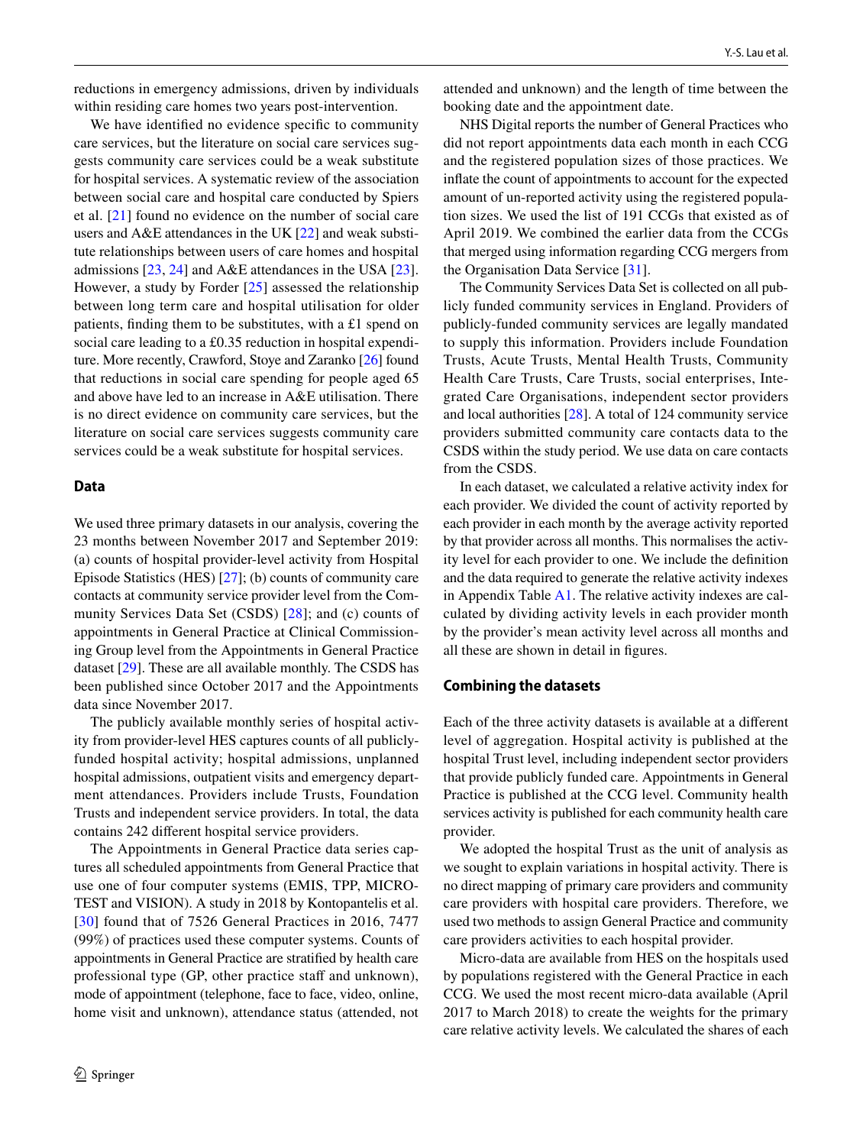reductions in emergency admissions, driven by individuals within residing care homes two years post-intervention.

We have identifed no evidence specifc to community care services, but the literature on social care services suggests community care services could be a weak substitute for hospital services. A systematic review of the association between social care and hospital care conducted by Spiers et al. [\[21\]](#page-14-3) found no evidence on the number of social care users and A&E attendances in the UK [\[22](#page-14-4)] and weak substitute relationships between users of care homes and hospital admissions [[23,](#page-14-5) [24\]](#page-14-6) and A&E attendances in the USA [\[23](#page-14-5)]. However, a study by Forder [\[25\]](#page-14-7) assessed the relationship between long term care and hospital utilisation for older patients, fnding them to be substitutes, with a £1 spend on social care leading to a £0.35 reduction in hospital expenditure. More recently, Crawford, Stoye and Zaranko [\[26\]](#page-14-8) found that reductions in social care spending for people aged 65 and above have led to an increase in A&E utilisation. There is no direct evidence on community care services, but the literature on social care services suggests community care services could be a weak substitute for hospital services.

#### **Data**

We used three primary datasets in our analysis, covering the 23 months between November 2017 and September 2019: (a) counts of hospital provider-level activity from Hospital Episode Statistics (HES) [\[27](#page-14-9)]; (b) counts of community care contacts at community service provider level from the Community Services Data Set (CSDS) [[28](#page-14-10)]; and (c) counts of appointments in General Practice at Clinical Commissioning Group level from the Appointments in General Practice dataset [\[29](#page-14-11)]. These are all available monthly. The CSDS has been published since October 2017 and the Appointments data since November 2017.

The publicly available monthly series of hospital activity from provider-level HES captures counts of all publiclyfunded hospital activity; hospital admissions, unplanned hospital admissions, outpatient visits and emergency department attendances. Providers include Trusts, Foundation Trusts and independent service providers. In total, the data contains 242 diferent hospital service providers.

The Appointments in General Practice data series captures all scheduled appointments from General Practice that use one of four computer systems (EMIS, TPP, MICRO-TEST and VISION). A study in 2018 by Kontopantelis et al. [[30\]](#page-14-12) found that of 7526 General Practices in 2016, 7477 (99%) of practices used these computer systems. Counts of appointments in General Practice are stratifed by health care professional type (GP, other practice staff and unknown), mode of appointment (telephone, face to face, video, online, home visit and unknown), attendance status (attended, not

attended and unknown) and the length of time between the booking date and the appointment date.

NHS Digital reports the number of General Practices who did not report appointments data each month in each CCG and the registered population sizes of those practices. We infate the count of appointments to account for the expected amount of un-reported activity using the registered population sizes. We used the list of 191 CCGs that existed as of April 2019. We combined the earlier data from the CCGs that merged using information regarding CCG mergers from the Organisation Data Service [\[31](#page-14-13)].

The Community Services Data Set is collected on all publicly funded community services in England. Providers of publicly-funded community services are legally mandated to supply this information. Providers include Foundation Trusts, Acute Trusts, Mental Health Trusts, Community Health Care Trusts, Care Trusts, social enterprises, Integrated Care Organisations, independent sector providers and local authorities [[28\]](#page-14-10). A total of 124 community service providers submitted community care contacts data to the CSDS within the study period. We use data on care contacts from the CSDS.

In each dataset, we calculated a relative activity index for each provider. We divided the count of activity reported by each provider in each month by the average activity reported by that provider across all months. This normalises the activity level for each provider to one. We include the defnition and the data required to generate the relative activity indexes in Appendix Table  $A1$ . The relative activity indexes are calculated by dividing activity levels in each provider month by the provider's mean activity level across all months and all these are shown in detail in fgures.

#### **Combining the datasets**

Each of the three activity datasets is available at a diferent level of aggregation. Hospital activity is published at the hospital Trust level, including independent sector providers that provide publicly funded care. Appointments in General Practice is published at the CCG level. Community health services activity is published for each community health care provider.

We adopted the hospital Trust as the unit of analysis as we sought to explain variations in hospital activity. There is no direct mapping of primary care providers and community care providers with hospital care providers. Therefore, we used two methods to assign General Practice and community care providers activities to each hospital provider.

Micro-data are available from HES on the hospitals used by populations registered with the General Practice in each CCG. We used the most recent micro-data available (April 2017 to March 2018) to create the weights for the primary care relative activity levels. We calculated the shares of each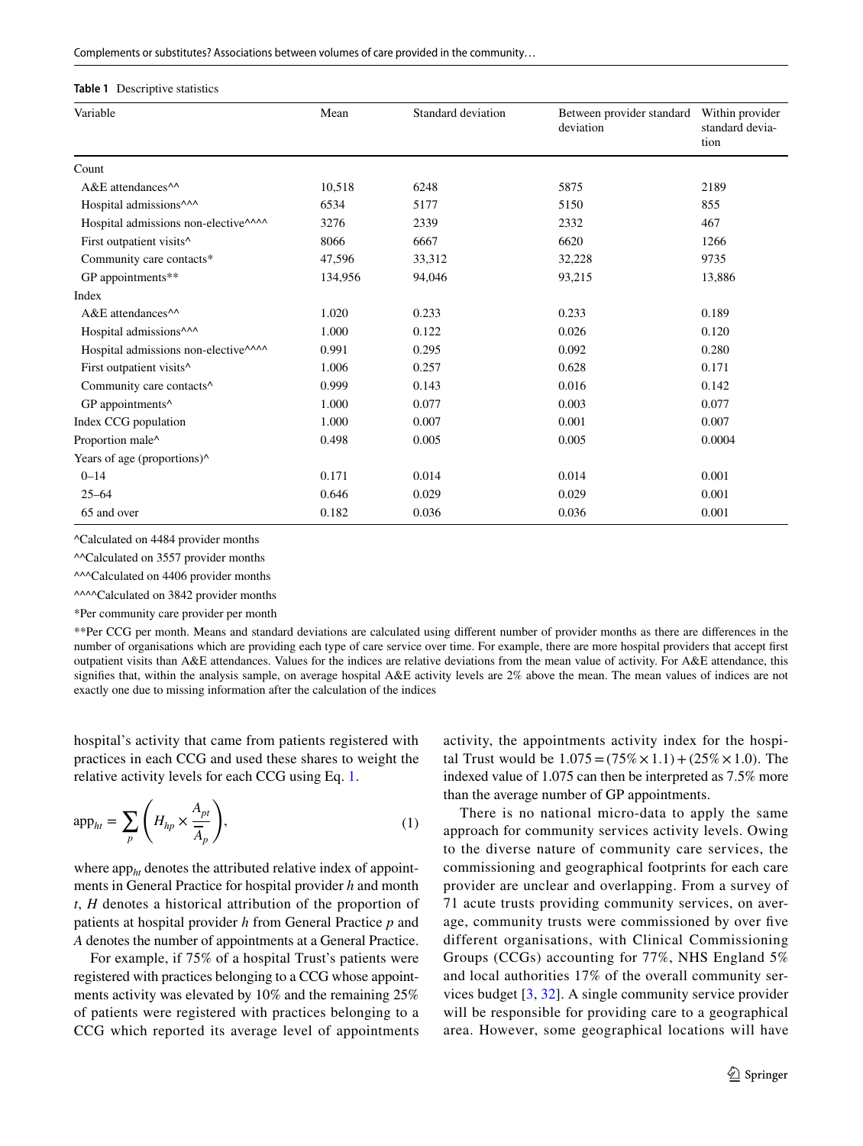Complements or substitutes? Associations between volumes of care provided in the community…

#### <span id="page-4-0"></span>**Table 1** Descriptive statistics

| Variable                                         | Mean    | Standard deviation | Between provider standard<br>deviation | Within provider<br>standard devia-<br>tion |
|--------------------------------------------------|---------|--------------------|----------------------------------------|--------------------------------------------|
| Count                                            |         |                    |                                        |                                            |
| A&E attendances <sup>^^</sup>                    | 10,518  | 6248               | 5875                                   | 2189                                       |
| Hospital admissions <sup>^^^</sup>               | 6534    | 5177               | 5150                                   | 855                                        |
| Hospital admissions non-elective <sup>^^^^</sup> | 3276    | 2339               | 2332                                   | 467                                        |
| First outpatient visits^                         | 8066    | 6667               | 6620                                   | 1266                                       |
| Community care contacts*                         | 47,596  | 33,312             | 32,228                                 | 9735                                       |
| GP appointments**                                | 134,956 | 94,046             | 93,215                                 | 13,886                                     |
| Index                                            |         |                    |                                        |                                            |
| A&E attendances <sup>^^</sup>                    | 1.020   | 0.233              | 0.233                                  | 0.189                                      |
| Hospital admissions <sup>^^^</sup>               | 1.000   | 0.122              | 0.026                                  | 0.120                                      |
| Hospital admissions non-elective^^^^             | 0.991   | 0.295              | 0.092                                  | 0.280                                      |
| First outpatient visits <sup>^</sup>             | 1.006   | 0.257              | 0.628                                  | 0.171                                      |
| Community care contacts <sup>^</sup>             | 0.999   | 0.143              | 0.016                                  | 0.142                                      |
| GP appointments^                                 | 1.000   | 0.077              | 0.003                                  | 0.077                                      |
| Index CCG population                             | 1.000   | 0.007              | 0.001                                  | 0.007                                      |
| Proportion male^                                 | 0.498   | 0.005              | 0.005                                  | 0.0004                                     |
| Years of age (proportions)^                      |         |                    |                                        |                                            |
| $0 - 14$                                         | 0.171   | 0.014              | 0.014                                  | 0.001                                      |
| $25 - 64$                                        | 0.646   | 0.029              | 0.029                                  | 0.001                                      |
| 65 and over                                      | 0.182   | 0.036              | 0.036                                  | 0.001                                      |

^Calculated on 4484 provider months

^^Calculated on 3557 provider months

^^^Calculated on 4406 provider months

^^^^Calculated on 3842 provider months

\*Per community care provider per month

\*\*Per CCG per month. Means and standard deviations are calculated using diferent number of provider months as there are diferences in the number of organisations which are providing each type of care service over time. For example, there are more hospital providers that accept frst outpatient visits than A&E attendances. Values for the indices are relative deviations from the mean value of activity. For A&E attendance, this signifes that, within the analysis sample, on average hospital A&E activity levels are 2% above the mean. The mean values of indices are not exactly one due to missing information after the calculation of the indices

hospital's activity that came from patients registered with practices in each CCG and used these shares to weight the relative activity levels for each CCG using Eq. [1](#page-4-1).

$$
\mathrm{app}_{ht} = \sum_{p} \left( H_{hp} \times \frac{A_{pt}}{\overline{A}_p} \right),\tag{1}
$$

where app<sub>ht</sub> denotes the attributed relative index of appointments in General Practice for hospital provider *h* and month *t*, *H* denotes a historical attribution of the proportion of patients at hospital provider *h* from General Practice *p* and *A* denotes the number of appointments at a General Practice.

For example, if 75% of a hospital Trust's patients were registered with practices belonging to a CCG whose appointments activity was elevated by 10% and the remaining 25% of patients were registered with practices belonging to a CCG which reported its average level of appointments activity, the appointments activity index for the hospital Trust would be  $1.075 = (75\% \times 1.1) + (25\% \times 1.0)$ . The indexed value of 1.075 can then be interpreted as 7.5% more than the average number of GP appointments.

<span id="page-4-1"></span>There is no national micro-data to apply the same approach for community services activity levels. Owing to the diverse nature of community care services, the commissioning and geographical footprints for each care provider are unclear and overlapping. From a survey of 71 acute trusts providing community services, on average, community trusts were commissioned by over fve different organisations, with Clinical Commissioning Groups (CCGs) accounting for 77%, NHS England 5% and local authorities 17% of the overall community services budget [\[3](#page-13-2), [32\]](#page-14-14). A single community service provider will be responsible for providing care to a geographical area. However, some geographical locations will have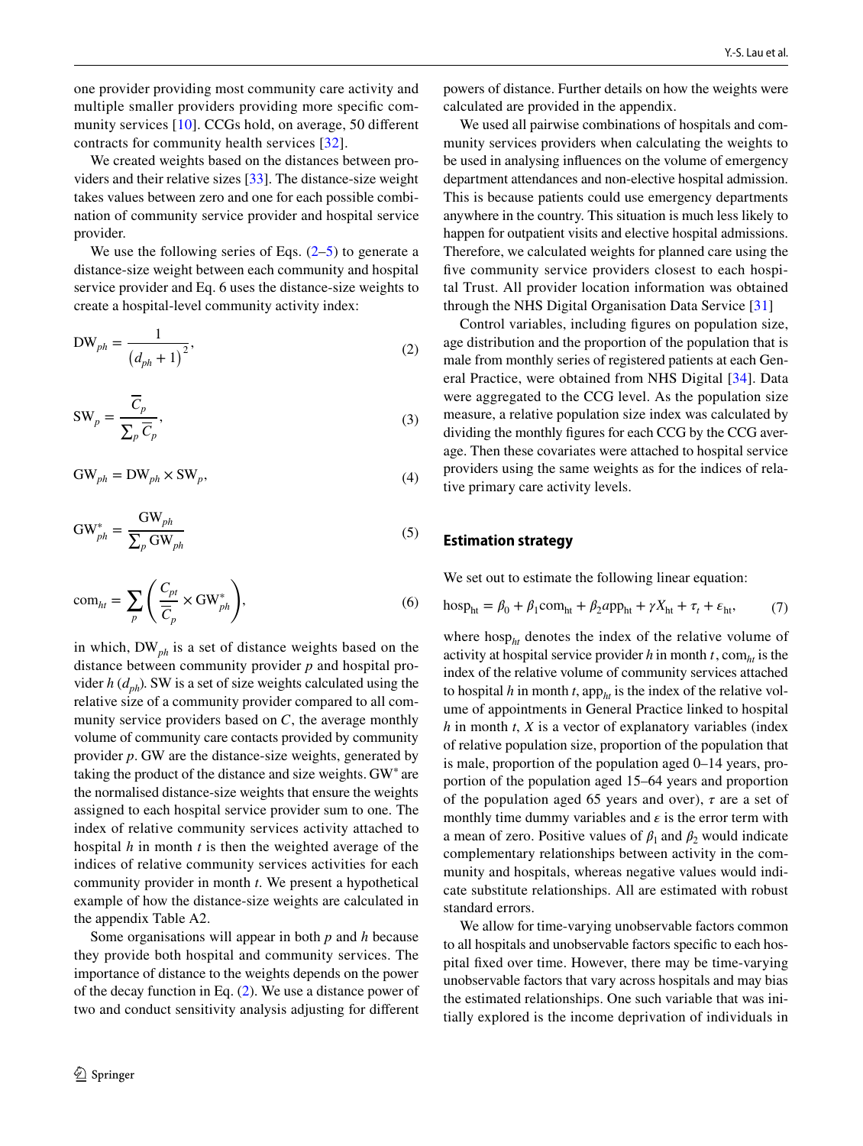one provider providing most community care activity and multiple smaller providers providing more specifc community services [\[10\]](#page-13-9). CCGs hold, on average, 50 diferent contracts for community health services [[32](#page-14-14)].

We created weights based on the distances between providers and their relative sizes [\[33](#page-14-15)]. The distance-size weight takes values between zero and one for each possible combination of community service provider and hospital service provider.

We use the following series of Eqs.  $(2-5)$  $(2-5)$  $(2-5)$  to generate a distance-size weight between each community and hospital service provider and Eq. 6 uses the distance-size weights to create a hospital-level community activity index:

$$
DW_{ph} = \frac{1}{\left(d_{ph} + 1\right)^2},\tag{2}
$$

$$
SW_p = \frac{\overline{C}_p}{\sum_p \overline{C}_p},
$$
\n(3)

$$
GW_{ph} = DW_{ph} \times SW_p, \tag{4}
$$

$$
GW_{ph}^{*} = \frac{GW_{ph}}{\sum_{p} GW_{ph}} \tag{5}
$$

$$
\text{com}_{ht} = \sum_{p} \left( \frac{C_{pt}}{\overline{C}_p} \times \text{GW}_{ph}^* \right),\tag{6}
$$

in which, DW*ph* is a set of distance weights based on the distance between community provider *p* and hospital provider  $h(d_{ph})$ . SW is a set of size weights calculated using the relative size of a community provider compared to all community service providers based on *C*, the average monthly volume of community care contacts provided by community provider *p*. GW are the distance-size weights, generated by taking the product of the distance and size weights. GW<sup>∗</sup> are the normalised distance-size weights that ensure the weights assigned to each hospital service provider sum to one. The index of relative community services activity attached to hospital *h* in month *t* is then the weighted average of the indices of relative community services activities for each community provider in month *t*. We present a hypothetical example of how the distance-size weights are calculated in the appendix Table A2.

Some organisations will appear in both *p* and *h* because they provide both hospital and community services. The importance of distance to the weights depends on the power of the decay function in Eq. [\(2](#page-5-0)). We use a distance power of two and conduct sensitivity analysis adjusting for diferent powers of distance. Further details on how the weights were calculated are provided in the appendix.

We used all pairwise combinations of hospitals and community services providers when calculating the weights to be used in analysing infuences on the volume of emergency department attendances and non-elective hospital admission. This is because patients could use emergency departments anywhere in the country. This situation is much less likely to happen for outpatient visits and elective hospital admissions. Therefore, we calculated weights for planned care using the five community service providers closest to each hospital Trust. All provider location information was obtained through the NHS Digital Organisation Data Service [[31\]](#page-14-13)

<span id="page-5-0"></span>Control variables, including fgures on population size, age distribution and the proportion of the population that is male from monthly series of registered patients at each General Practice, were obtained from NHS Digital [[34\]](#page-14-16). Data were aggregated to the CCG level. As the population size measure, a relative population size index was calculated by dividing the monthly fgures for each CCG by the CCG average. Then these covariates were attached to hospital service providers using the same weights as for the indices of relative primary care activity levels.

#### <span id="page-5-1"></span>**Estimation strategy**

<span id="page-5-2"></span>We set out to estimate the following linear equation:

$$
\text{hosp}_{\text{ht}} = \beta_0 + \beta_1 \text{com}_{\text{ht}} + \beta_2 \text{app}_{\text{ht}} + \gamma X_{\text{ht}} + \tau_t + \varepsilon_{\text{ht}},\tag{7}
$$

where hosp<sub>ht</sub> denotes the index of the relative volume of activity at hospital service provider  $h$  in month  $t$ , com<sub> $h$ t</sub> is the index of the relative volume of community services attached to hospital *h* in month *t*, app<sub>*ht*</sub> is the index of the relative volume of appointments in General Practice linked to hospital *h* in month *t*, *X* is a vector of explanatory variables (index of relative population size, proportion of the population that is male, proportion of the population aged 0–14 years, proportion of the population aged 15–64 years and proportion of the population aged 65 years and over),  $\tau$  are a set of monthly time dummy variables and  $\epsilon$  is the error term with a mean of zero. Positive values of  $\beta_1$  and  $\beta_2$  would indicate complementary relationships between activity in the community and hospitals, whereas negative values would indicate substitute relationships. All are estimated with robust standard errors.

We allow for time-varying unobservable factors common to all hospitals and unobservable factors specifc to each hospital fxed over time. However, there may be time-varying unobservable factors that vary across hospitals and may bias the estimated relationships. One such variable that was initially explored is the income deprivation of individuals in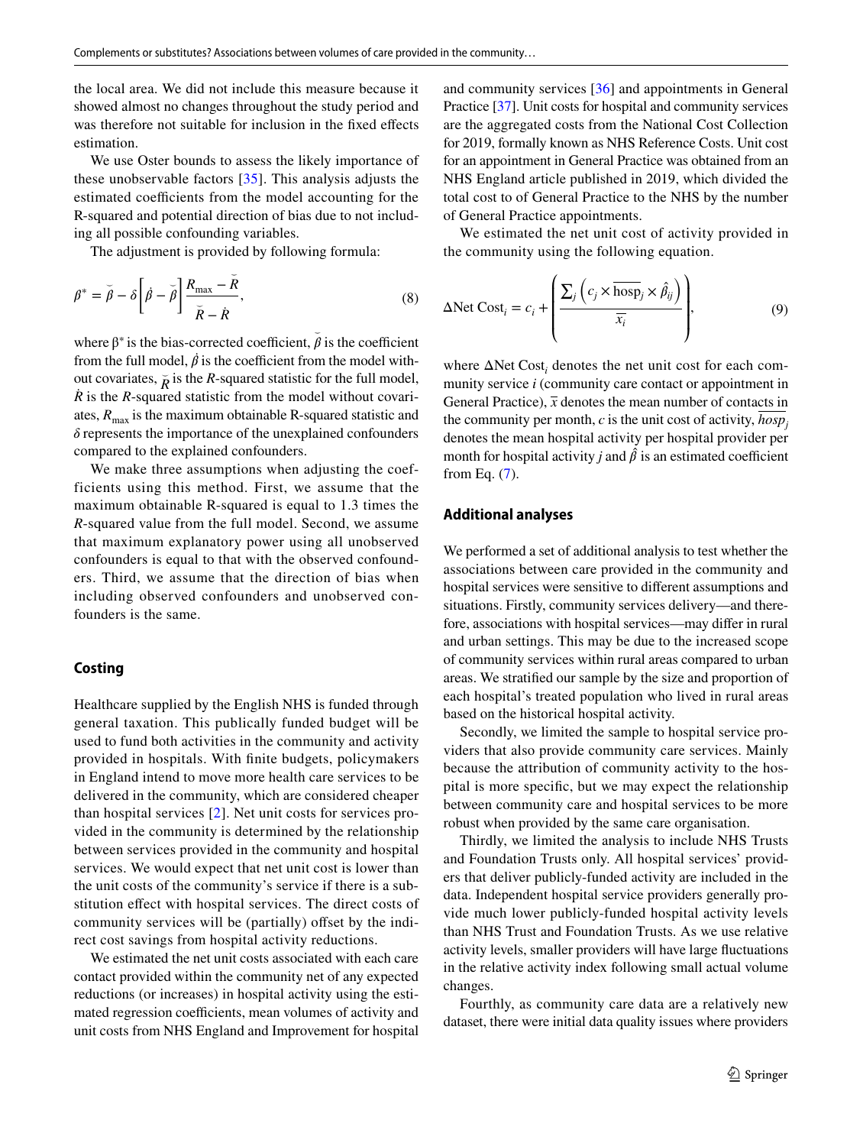the local area. We did not include this measure because it showed almost no changes throughout the study period and was therefore not suitable for inclusion in the fxed efects estimation.

We use Oster bounds to assess the likely importance of these unobservable factors [[35](#page-14-17)]. This analysis adjusts the estimated coefficients from the model accounting for the R-squared and potential direction of bias due to not including all possible confounding variables.

The adjustment is provided by following formula:

$$
\beta^* = \breve{\beta} - \delta \left[ \dot{\beta} - \breve{\beta} \right] \frac{R_{\text{max}} - \breve{R}}{\breve{\kappa} - \dot{R}},\tag{8}
$$

where  $\beta^*$  is the bias-corrected coefficient,  $\tilde{\beta}$  is the coefficient from the full model,  $\dot{\beta}$  is the coefficient from the model without covariates,  $\bar{R}$  is the *R*-squared statistic for the full model, *Ṙ* is the *R*-squared statistic from the model without covariates,  $R_{\text{max}}$  is the maximum obtainable R-squared statistic and  $\delta$  represents the importance of the unexplained confounders compared to the explained confounders.

We make three assumptions when adjusting the coefficients using this method. First, we assume that the maximum obtainable R-squared is equal to 1.3 times the *R*-squared value from the full model. Second, we assume that maximum explanatory power using all unobserved confounders is equal to that with the observed confounders. Third, we assume that the direction of bias when including observed confounders and unobserved confounders is the same.

#### **Costing**

Healthcare supplied by the English NHS is funded through general taxation. This publically funded budget will be used to fund both activities in the community and activity provided in hospitals. With fnite budgets, policymakers in England intend to move more health care services to be delivered in the community, which are considered cheaper than hospital services [\[2\]](#page-13-1). Net unit costs for services provided in the community is determined by the relationship between services provided in the community and hospital services. We would expect that net unit cost is lower than the unit costs of the community's service if there is a substitution efect with hospital services. The direct costs of community services will be (partially) offset by the indirect cost savings from hospital activity reductions.

We estimated the net unit costs associated with each care contact provided within the community net of any expected reductions (or increases) in hospital activity using the estimated regression coefficients, mean volumes of activity and unit costs from NHS England and Improvement for hospital and community services [\[36](#page-14-18)] and appointments in General Practice [\[37](#page-14-19)]. Unit costs for hospital and community services are the aggregated costs from the National Cost Collection for 2019, formally known as NHS Reference Costs. Unit cost for an appointment in General Practice was obtained from an NHS England article published in 2019, which divided the total cost to of General Practice to the NHS by the number of General Practice appointments.

We estimated the net unit cost of activity provided in the community using the following equation.

<span id="page-6-0"></span>
$$
\Delta \text{Net Cost}_i = c_i + \left( \frac{\sum_j \left( c_j \times \overline{\text{hosp}}_j \times \hat{\beta}_{ij} \right)}{\overline{x_i}} \right),\tag{9}
$$

where  $\Delta$ Net Cost<sub>*i*</sub> denotes the net unit cost for each community service *i* (community care contact or appointment in General Practice),  $\bar{x}$  denotes the mean number of contacts in the community per month,  $c$  is the unit cost of activity,  $hosp_i$ denotes the mean hospital activity per hospital provider per month for hospital activity *j* and  $\hat{\beta}$  is an estimated coefficient from Eq. ([7\)](#page-5-2).

## **Additional analyses**

We performed a set of additional analysis to test whether the associations between care provided in the community and hospital services were sensitive to diferent assumptions and situations. Firstly, community services delivery—and therefore, associations with hospital services—may difer in rural and urban settings. This may be due to the increased scope of community services within rural areas compared to urban areas. We stratifed our sample by the size and proportion of each hospital's treated population who lived in rural areas based on the historical hospital activity.

Secondly, we limited the sample to hospital service providers that also provide community care services. Mainly because the attribution of community activity to the hospital is more specifc, but we may expect the relationship between community care and hospital services to be more robust when provided by the same care organisation.

Thirdly, we limited the analysis to include NHS Trusts and Foundation Trusts only. All hospital services' providers that deliver publicly-funded activity are included in the data. Independent hospital service providers generally provide much lower publicly-funded hospital activity levels than NHS Trust and Foundation Trusts. As we use relative activity levels, smaller providers will have large fuctuations in the relative activity index following small actual volume changes.

Fourthly, as community care data are a relatively new dataset, there were initial data quality issues where providers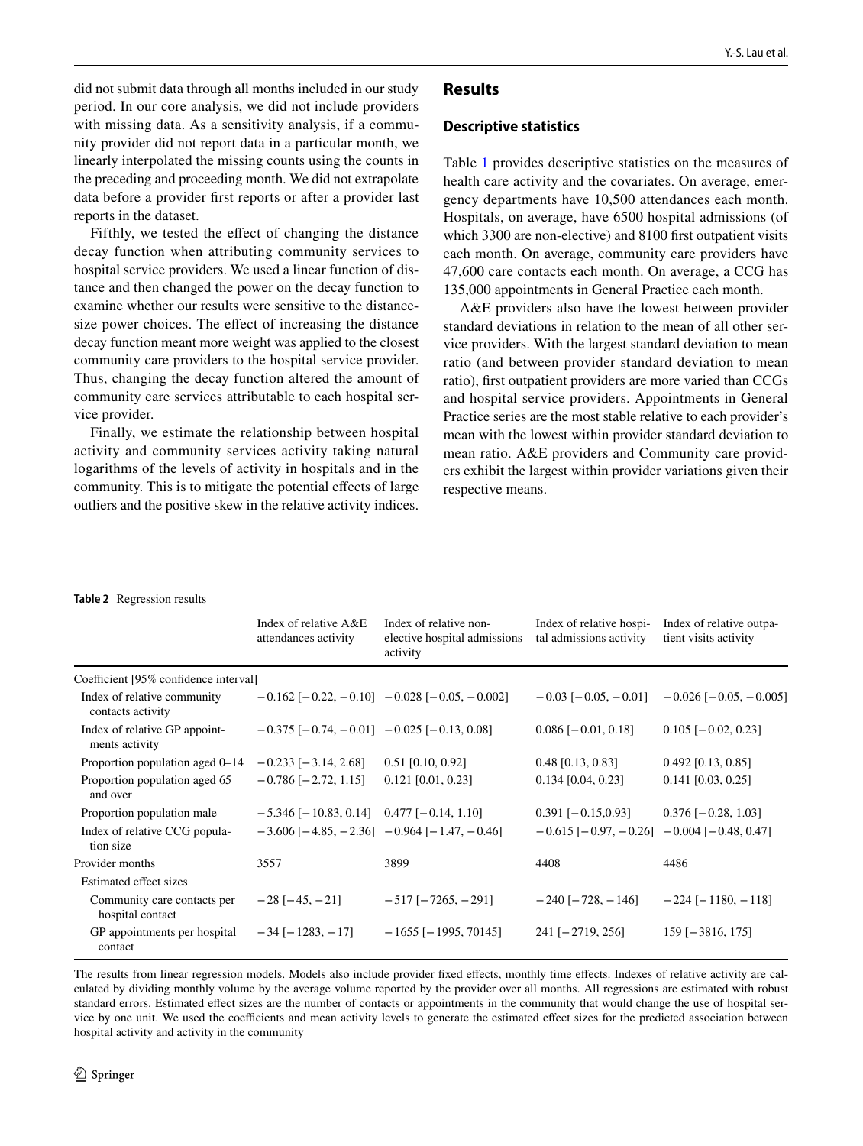did not submit data through all months included in our study period. In our core analysis, we did not include providers with missing data. As a sensitivity analysis, if a community provider did not report data in a particular month, we linearly interpolated the missing counts using the counts in the preceding and proceeding month. We did not extrapolate data before a provider frst reports or after a provider last reports in the dataset.

Fifthly, we tested the efect of changing the distance decay function when attributing community services to hospital service providers. We used a linear function of distance and then changed the power on the decay function to examine whether our results were sensitive to the distancesize power choices. The efect of increasing the distance decay function meant more weight was applied to the closest community care providers to the hospital service provider. Thus, changing the decay function altered the amount of community care services attributable to each hospital service provider.

Finally, we estimate the relationship between hospital activity and community services activity taking natural logarithms of the levels of activity in hospitals and in the community. This is to mitigate the potential effects of large outliers and the positive skew in the relative activity indices.

# **Results**

#### **Descriptive statistics**

Table [1](#page-4-0) provides descriptive statistics on the measures of health care activity and the covariates. On average, emergency departments have 10,500 attendances each month. Hospitals, on average, have 6500 hospital admissions (of which 3300 are non-elective) and 8100 frst outpatient visits each month. On average, community care providers have 47,600 care contacts each month. On average, a CCG has 135,000 appointments in General Practice each month.

A&E providers also have the lowest between provider standard deviations in relation to the mean of all other service providers. With the largest standard deviation to mean ratio (and between provider standard deviation to mean ratio), frst outpatient providers are more varied than CCGs and hospital service providers. Appointments in General Practice series are the most stable relative to each provider's mean with the lowest within provider standard deviation to mean ratio. A&E providers and Community care providers exhibit the largest within provider variations given their respective means.

#### <span id="page-7-0"></span>**Table 2** Regression results

|                                                  | Index of relative A&E<br>attendances activity             | Index of relative non-<br>elective hospital admissions<br>activity | Index of relative hospi-<br>tal admissions activity | Index of relative outpa-<br>tient visits activity             |
|--------------------------------------------------|-----------------------------------------------------------|--------------------------------------------------------------------|-----------------------------------------------------|---------------------------------------------------------------|
| Coefficient [95% confidence interval]            |                                                           |                                                                    |                                                     |                                                               |
| Index of relative community<br>contacts activity |                                                           | $-0.162$ [ $-0.22$ , $-0.10$ ] $-0.028$ [ $-0.05$ , $-0.002$ ]     |                                                     | $-0.03$ [ $-0.05$ , $-0.01$ ] $-0.026$ [ $-0.05$ , $-0.005$ ] |
| Index of relative GP appoint-<br>ments activity  | $-0.375$ [ $-0.74$ , $-0.01$ ] $-0.025$ [ $-0.13$ , 0.08] |                                                                    | $0.086$ [ $-0.01$ , 0.18]                           | $0.105$ [ $-0.02, 0.23$ ]                                     |
| Proportion population aged 0–14                  | $-0.233$ [ $-3.14$ , 2.68]                                | $0.51$ [0.10, 0.92]                                                | $0.48$ [0.13, 0.83]                                 | $0.492$ [0.13, 0.85]                                          |
| Proportion population aged 65<br>and over        | $-0.786$ [ $-2.72$ , 1.15]                                | $0.121$ [0.01, 0.23]                                               | $0.134$ [0.04, 0.23]                                | $0.141$ [0.03, 0.25]                                          |
| Proportion population male                       | $-5.346$ [ $-10.83$ , 0.14] 0.477 [ $-0.14$ , 1.10]       |                                                                    | $0.391$ [ $-0.15,0.93$ ]                            | $0.376$ [ $-0.28$ , 1.03]                                     |
| Index of relative CCG popula-<br>tion size       |                                                           | $-3.606$ [ $-4.85$ , $-2.36$ ] $-0.964$ [ $-1.47$ , $-0.46$ ]      | $-0.615$ [ $-0.97, -0.26$ ]                         | $-0.004$ [ $-0.48$ , 0.47]                                    |
| Provider months                                  | 3557                                                      | 3899                                                               | 4408                                                | 4486                                                          |
| Estimated effect sizes                           |                                                           |                                                                    |                                                     |                                                               |
| Community care contacts per<br>hospital contact  | $-28$ [ $-45$ , $-21$ ]                                   | $-517$ [ $-7265$ , $-291$ ]                                        | $-240$ [ $-728$ , $-146$ ]                          | $-224$ [ $-1180$ , $-118$ ]                                   |
| GP appointments per hospital<br>contact          | $-34$ [ $-1283$ , $-17$ ]                                 | $-1655$ [ $-1995, 70145$ ]                                         | $241$ [-2719, 256]                                  | $159$ [-3816, 175]                                            |

The results from linear regression models. Models also include provider fxed efects, monthly time efects. Indexes of relative activity are calculated by dividing monthly volume by the average volume reported by the provider over all months. All regressions are estimated with robust standard errors. Estimated efect sizes are the number of contacts or appointments in the community that would change the use of hospital service by one unit. We used the coefficients and mean activity levels to generate the estimated effect sizes for the predicted association between hospital activity and activity in the community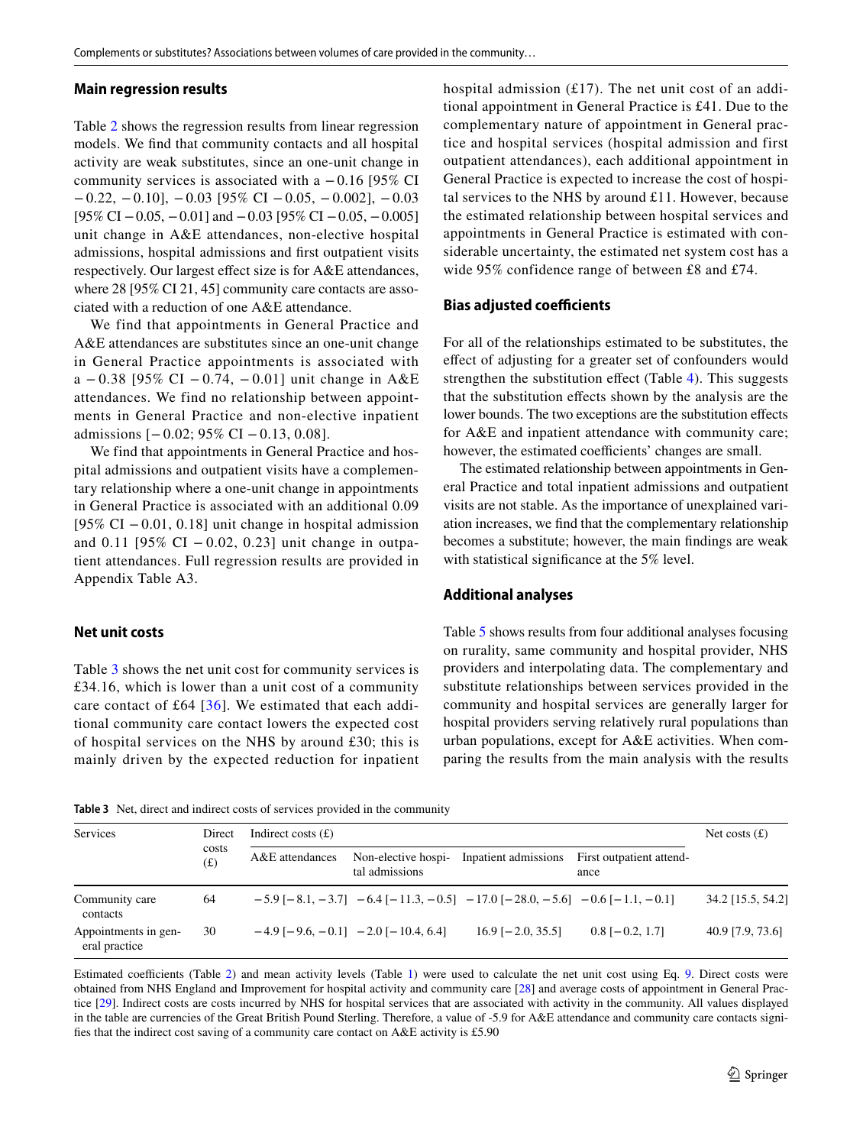#### **Main regression results**

Table [2](#page-7-0) shows the regression results from linear regression models. We fnd that community contacts and all hospital activity are weak substitutes, since an one-unit change in community services is associated with a −0.16 [95% CI  $-0.22, -0.10$ ],  $-0.03$  [95% CI  $-0.05, -0.002$ ],  $-0.03$  $[95\% \text{ CI} - 0.05, -0.01]$  and  $-0.03$   $[95\% \text{ CI} - 0.05, -0.005]$ unit change in A&E attendances, non-elective hospital admissions, hospital admissions and frst outpatient visits respectively. Our largest efect size is for A&E attendances, where 28 [95% CI 21, 45] community care contacts are associated with a reduction of one A&E attendance.

We find that appointments in General Practice and A&E attendances are substitutes since an one-unit change in General Practice appointments is associated with a − 0.38 [95% CI − 0.74, − 0.01] unit change in A&E attendances. We find no relationship between appointments in General Practice and non-elective inpatient admissions [− 0.02; 95% CI − 0.13, 0.08].

We find that appointments in General Practice and hospital admissions and outpatient visits have a complementary relationship where a one-unit change in appointments in General Practice is associated with an additional 0.09 [95% CI − 0.01, 0.18] unit change in hospital admission and 0.11 [95% CI − 0.02, 0.23] unit change in outpatient attendances. Full regression results are provided in Appendix Table A3.

# **Net unit costs**

Table [3](#page-8-0) shows the net unit cost for community services is £34.16, which is lower than a unit cost of a community care contact of £64  $[36]$  $[36]$ . We estimated that each additional community care contact lowers the expected cost of hospital services on the NHS by around £30; this is mainly driven by the expected reduction for inpatient hospital admission  $(f17)$ . The net unit cost of an additional appointment in General Practice is £41. Due to the complementary nature of appointment in General practice and hospital services (hospital admission and first outpatient attendances), each additional appointment in General Practice is expected to increase the cost of hospital services to the NHS by around £11. However, because the estimated relationship between hospital services and appointments in General Practice is estimated with considerable uncertainty, the estimated net system cost has a wide 95% confidence range of between £8 and £74.

#### **Bias adjusted coefficients**

For all of the relationships estimated to be substitutes, the efect of adjusting for a greater set of confounders would strengthen the substitution effect (Table [4](#page-9-0)). This suggests that the substitution efects shown by the analysis are the lower bounds. The two exceptions are the substitution effects for A&E and inpatient attendance with community care; however, the estimated coefficients' changes are small.

The estimated relationship between appointments in General Practice and total inpatient admissions and outpatient visits are not stable. As the importance of unexplained variation increases, we fnd that the complementary relationship becomes a substitute; however, the main fndings are weak with statistical significance at the 5% level.

#### **Additional analyses**

Table [5](#page-10-0) shows results from four additional analyses focusing on rurality, same community and hospital provider, NHS providers and interpolating data. The complementary and substitute relationships between services provided in the community and hospital services are generally larger for hospital providers serving relatively rural populations than urban populations, except for A&E activities. When comparing the results from the main analysis with the results

<span id="page-8-0"></span>**Table 3** Net, direct and indirect costs of services provided in the community

| Services                              | Direct<br>costs<br>(f(x)) | Indirect costs $(f)$ | Net costs $(f)$                       |                                                                                |                                  |                   |
|---------------------------------------|---------------------------|----------------------|---------------------------------------|--------------------------------------------------------------------------------|----------------------------------|-------------------|
|                                       |                           | A&E attendances      | Non-elective hospi-<br>tal admissions | Inpatient admissions                                                           | First outpatient attend-<br>ance |                   |
| Community care<br>contacts            | 64                        |                      |                                       | $-5.9[-8.1, -3.7]$ $-6.4[-11.3, -0.5]$ $-17.0[-28.0, -5.6]$ $-0.6[-1.1, -0.1]$ |                                  | 34.2 [15.5, 54.2] |
| Appointments in gen-<br>eral practice | 30                        |                      | $-4.9$ [-9.6, -0.1] -2.0 [-10.4, 6.4] | $16.9$ [-2.0, 35.5]                                                            | $0.8$ [ $-0.2$ , 1.7]            | 40.9 [7.9, 73.6]  |

Estimated coefficients (Table [2](#page-7-0)) and mean activity levels (Table [1\)](#page-4-0) were used to calculate the net unit cost using Eq. [9](#page-6-0). Direct costs were obtained from NHS England and Improvement for hospital activity and community care [\[28\]](#page-14-10) and average costs of appointment in General Practice [[29](#page-14-11)]. Indirect costs are costs incurred by NHS for hospital services that are associated with activity in the community. All values displayed in the table are currencies of the Great British Pound Sterling. Therefore, a value of -5.9 for A&E attendance and community care contacts signifes that the indirect cost saving of a community care contact on A&E activity is £5.90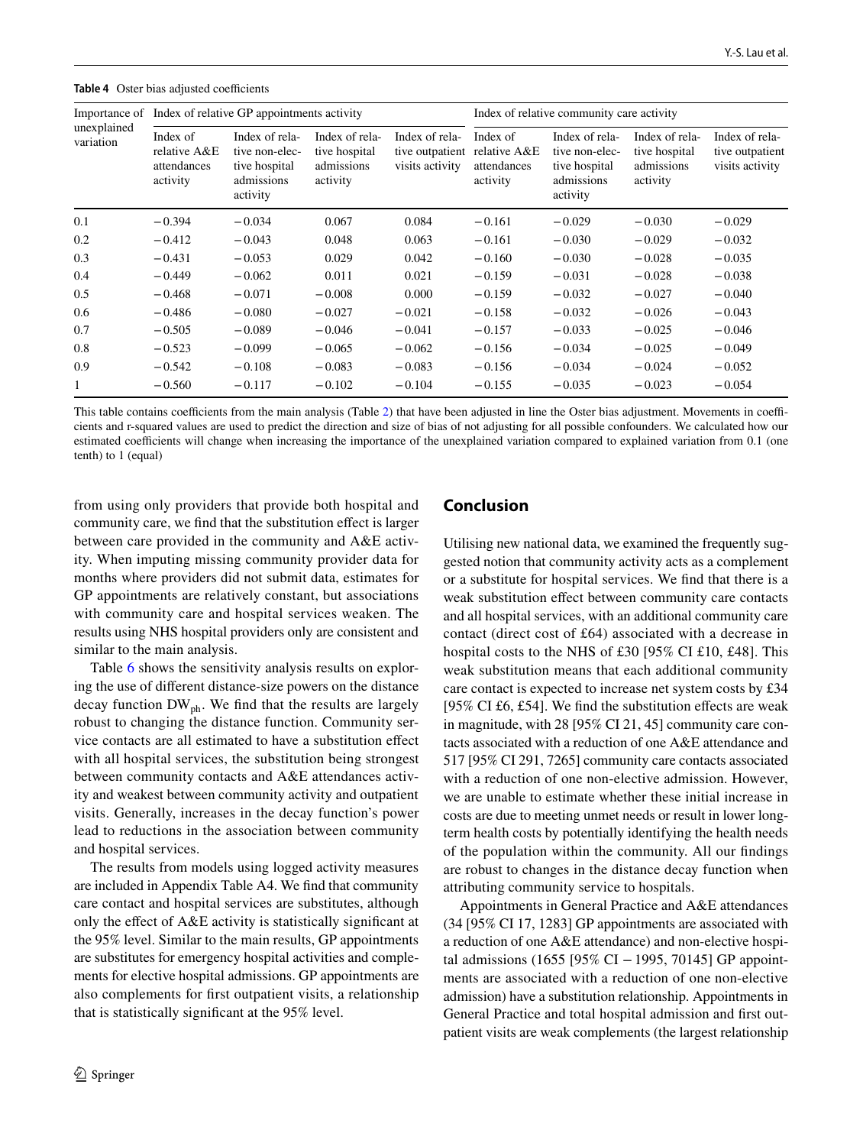| unexplained<br>variation | Importance of Index of relative GP appointments activity |                                                                             |                                                           |                                                      | Index of relative community care activity           |                                                                             |                                                           |                                                      |
|--------------------------|----------------------------------------------------------|-----------------------------------------------------------------------------|-----------------------------------------------------------|------------------------------------------------------|-----------------------------------------------------|-----------------------------------------------------------------------------|-----------------------------------------------------------|------------------------------------------------------|
|                          | Index of<br>relative A&E<br>attendances<br>activity      | Index of rela-<br>tive non-elec-<br>tive hospital<br>admissions<br>activity | Index of rela-<br>tive hospital<br>admissions<br>activity | Index of rela-<br>tive outpatient<br>visits activity | Index of<br>relative A&E<br>attendances<br>activity | Index of rela-<br>tive non-elec-<br>tive hospital<br>admissions<br>activity | Index of rela-<br>tive hospital<br>admissions<br>activity | Index of rela-<br>tive outpatient<br>visits activity |
| 0.1                      | $-0.394$                                                 | $-0.034$                                                                    | 0.067                                                     | 0.084                                                | $-0.161$                                            | $-0.029$                                                                    | $-0.030$                                                  | $-0.029$                                             |
| 0.2                      | $-0.412$                                                 | $-0.043$                                                                    | 0.048                                                     | 0.063                                                | $-0.161$                                            | $-0.030$                                                                    | $-0.029$                                                  | $-0.032$                                             |
| 0.3                      | $-0.431$                                                 | $-0.053$                                                                    | 0.029                                                     | 0.042                                                | $-0.160$                                            | $-0.030$                                                                    | $-0.028$                                                  | $-0.035$                                             |
| 0.4                      | $-0.449$                                                 | $-0.062$                                                                    | 0.011                                                     | 0.021                                                | $-0.159$                                            | $-0.031$                                                                    | $-0.028$                                                  | $-0.038$                                             |
| 0.5                      | $-0.468$                                                 | $-0.071$                                                                    | $-0.008$                                                  | 0.000                                                | $-0.159$                                            | $-0.032$                                                                    | $-0.027$                                                  | $-0.040$                                             |
| 0.6                      | $-0.486$                                                 | $-0.080$                                                                    | $-0.027$                                                  | $-0.021$                                             | $-0.158$                                            | $-0.032$                                                                    | $-0.026$                                                  | $-0.043$                                             |
| 0.7                      | $-0.505$                                                 | $-0.089$                                                                    | $-0.046$                                                  | $-0.041$                                             | $-0.157$                                            | $-0.033$                                                                    | $-0.025$                                                  | $-0.046$                                             |
| 0.8                      | $-0.523$                                                 | $-0.099$                                                                    | $-0.065$                                                  | $-0.062$                                             | $-0.156$                                            | $-0.034$                                                                    | $-0.025$                                                  | $-0.049$                                             |
| 0.9                      | $-0.542$                                                 | $-0.108$                                                                    | $-0.083$                                                  | $-0.083$                                             | $-0.156$                                            | $-0.034$                                                                    | $-0.024$                                                  | $-0.052$                                             |
|                          | $-0.560$                                                 | $-0.117$                                                                    | $-0.102$                                                  | $-0.104$                                             | $-0.155$                                            | $-0.035$                                                                    | $-0.023$                                                  | $-0.054$                                             |

<span id="page-9-0"></span>**Table 4** Oster bias adjusted coefficients

This table contains coefficients from the main analysis (Table [2](#page-7-0)) that have been adjusted in line the Oster bias adjustment. Movements in coefficients and r-squared values are used to predict the direction and size of bias of not adjusting for all possible confounders. We calculated how our estimated coefficients will change when increasing the importance of the unexplained variation compared to explained variation from 0.1 (one tenth) to 1 (equal)

from using only providers that provide both hospital and community care, we fnd that the substitution efect is larger between care provided in the community and A&E activity. When imputing missing community provider data for months where providers did not submit data, estimates for GP appointments are relatively constant, but associations with community care and hospital services weaken. The results using NHS hospital providers only are consistent and similar to the main analysis.

Table [6](#page-11-0) shows the sensitivity analysis results on exploring the use of diferent distance-size powers on the distance decay function  $DW_{ph}$ . We find that the results are largely robust to changing the distance function. Community service contacts are all estimated to have a substitution efect with all hospital services, the substitution being strongest between community contacts and A&E attendances activity and weakest between community activity and outpatient visits. Generally, increases in the decay function's power lead to reductions in the association between community and hospital services.

The results from models using logged activity measures are included in Appendix Table A4. We fnd that community care contact and hospital services are substitutes, although only the efect of A&E activity is statistically signifcant at the 95% level. Similar to the main results, GP appointments are substitutes for emergency hospital activities and complements for elective hospital admissions. GP appointments are also complements for frst outpatient visits, a relationship that is statistically signifcant at the 95% level.

# **Conclusion**

Utilising new national data, we examined the frequently suggested notion that community activity acts as a complement or a substitute for hospital services. We fnd that there is a weak substitution effect between community care contacts and all hospital services, with an additional community care contact (direct cost of £64) associated with a decrease in hospital costs to the NHS of £30 [95% CI £10, £48]. This weak substitution means that each additional community care contact is expected to increase net system costs by £34 [95% CI £6, £54]. We fnd the substitution efects are weak in magnitude, with 28 [95% CI 21, 45] community care contacts associated with a reduction of one A&E attendance and 517 [95% CI 291, 7265] community care contacts associated with a reduction of one non-elective admission. However, we are unable to estimate whether these initial increase in costs are due to meeting unmet needs or result in lower longterm health costs by potentially identifying the health needs of the population within the community. All our fndings are robust to changes in the distance decay function when attributing community service to hospitals.

Appointments in General Practice and A&E attendances (34 [95% CI 17, 1283] GP appointments are associated with a reduction of one A&E attendance) and non-elective hospital admissions (1655 [95% CI −1995, 70145] GP appointments are associated with a reduction of one non-elective admission) have a substitution relationship. Appointments in General Practice and total hospital admission and frst outpatient visits are weak complements (the largest relationship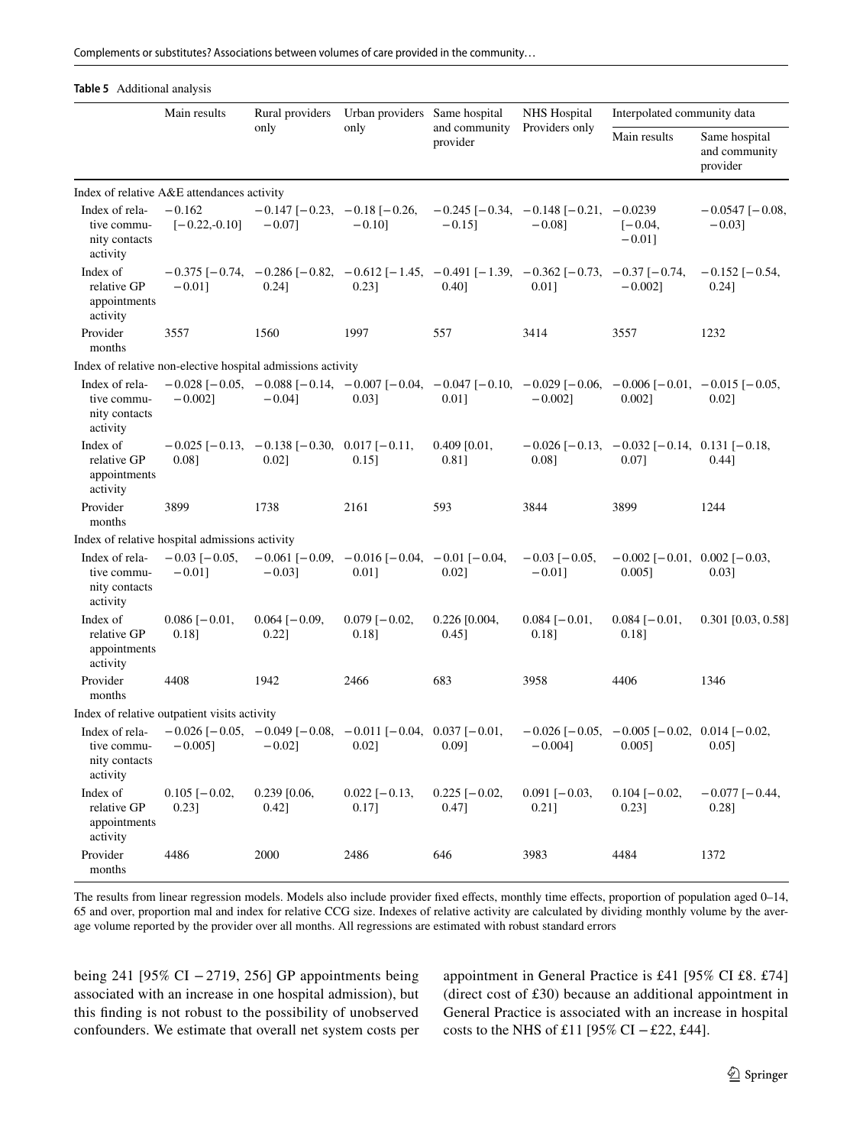Complements or substitutes? Associations between volumes of care provided in the community…

#### <span id="page-10-0"></span>**Table 5** Additional analysis

|                                                            | Main results                                   | Rural providers                                                                                                                                                 | Urban providers Same hospital                                          |                              | <b>NHS</b> Hospital                                              | Interpolated community data                                              |                                            |
|------------------------------------------------------------|------------------------------------------------|-----------------------------------------------------------------------------------------------------------------------------------------------------------------|------------------------------------------------------------------------|------------------------------|------------------------------------------------------------------|--------------------------------------------------------------------------|--------------------------------------------|
|                                                            |                                                | only                                                                                                                                                            | only                                                                   | and community<br>provider    | Providers only                                                   | Main results                                                             | Same hospital<br>and community<br>provider |
|                                                            | Index of relative A&E attendances activity     |                                                                                                                                                                 |                                                                        |                              |                                                                  |                                                                          |                                            |
| Index of rela-<br>tive commu-<br>nity contacts<br>activity | $-0.162$<br>$[-0.22,-0.10]$                    | $-0.147$ [ $-0.23$ , $-0.18$ [ $-0.26$ ,<br>$-0.07$ ]                                                                                                           | $-0.10$ ]                                                              | $-0.15$ ]                    | $-0.245$ [ $-0.34$ , $-0.148$ [ $-0.21$ , $-0.0239$<br>$-0.08$ ] | $[-0.04,$<br>$-0.01$ ]                                                   | $-0.0547$ [ $-0.08$ ,<br>$-0.03$ ]         |
| Index of<br>relative GP<br>appointments<br>activity        | $-0.01$ ]                                      | $-0.375$ [ $-0.74$ , $-0.286$ [ $-0.82$ , $-0.612$ [ $-1.45$ , $-0.491$ [ $-1.39$ , $-0.362$ [ $-0.73$ , $-0.37$ [ $-0.74$ ,<br>$0.24$ ]                        | 0.231                                                                  | 0.401                        | 0.011                                                            | $-0.002$ ]                                                               | $-0.152$ [ $-0.54$ ,<br>$0.24$ ]           |
| Provider<br>months                                         | 3557                                           | 1560                                                                                                                                                            | 1997                                                                   | 557                          | 3414                                                             | 3557                                                                     | 1232                                       |
|                                                            |                                                | Index of relative non-elective hospital admissions activity                                                                                                     |                                                                        |                              |                                                                  |                                                                          |                                            |
| Index of rela-<br>tive commu-<br>nity contacts<br>activity | $-0.0021$                                      | $-0.028$ [ $-0.05$ , $-0.088$ [ $-0.14$ , $-0.007$ [ $-0.04$ , $-0.047$ [ $-0.10$ , $-0.029$ [ $-0.06$ , $-0.006$ [ $-0.01$ , $-0.015$ [ $-0.05$ ,<br>$-0.04$ ] | 0.031                                                                  | 0.011                        | $-0.0021$                                                        | 0.0021                                                                   | $0.02$ ]                                   |
| Index of<br>relative GP<br>appointments<br>activity        | 0.08]                                          | $-0.025$ [ $-0.13$ , $-0.138$ [ $-0.30$ , 0.017 [ $-0.11$ ]<br>$0.02$ ]                                                                                         | $0.15$ ]                                                               | $0.409$ [0.01,<br>0.81]      | 0.08]                                                            | $-0.026$ [ $-0.13$ , $-0.032$ [ $-0.14$ , 0.131 [ $-0.18$ ,<br>0.07]     | $0.44$ ]                                   |
| Provider<br>months                                         | 3899                                           | 1738                                                                                                                                                            | 2161                                                                   | 593                          | 3844                                                             | 3899                                                                     | 1244                                       |
|                                                            | Index of relative hospital admissions activity |                                                                                                                                                                 |                                                                        |                              |                                                                  |                                                                          |                                            |
| Index of rela-<br>tive commu-<br>nity contacts<br>activity | $-0.03$ [ $-0.05$ ,<br>$-0.01$ ]               | $-0.03$ ]                                                                                                                                                       | $-0.061$ [ $-0.09$ , $-0.016$ [ $-0.04$ , $-0.01$ [ $-0.04$ ,<br>0.011 | 0.021                        | $-0.03$ [ $-0.05$ ,<br>$-0.01$ ]                                 | $-0.002$ [ $-0.01$ , 0.002 [ $-0.03$ ]<br>0.0051                         | 0.031                                      |
| Index of<br>relative GP<br>appointments<br>activity        | $0.086$ [ $-0.01$ ,<br>0.18]                   | $0.064$ [ $-0.09$ ,<br>$0.22$ ]                                                                                                                                 | $0.079$ [ $-0.02$ ,<br>0.18]                                           | $0.226$ [0.004,<br>$0.45$ ]  | $0.084$ [ $-0.01$ ,<br>0.18]                                     | $0.084[-0.01,$<br>0.18]                                                  | $0.301$ [0.03, 0.58]                       |
| Provider<br>months                                         | 4408                                           | 1942                                                                                                                                                            | 2466                                                                   | 683                          | 3958                                                             | 4406                                                                     | 1346                                       |
|                                                            | Index of relative outpatient visits activity   |                                                                                                                                                                 |                                                                        |                              |                                                                  |                                                                          |                                            |
| Index of rela-<br>tive commu-<br>nity contacts<br>activity | $-0.005$ ]                                     | $-0.026$ [ $-0.05$ , $-0.049$ [ $-0.08$ , $-0.011$ [ $-0.04$ , 0.037 [ $-0.01$ ,<br>$-0.02$ ]                                                                   | $0.02$ ]                                                               | 0.09]                        | $-0.004$ ]                                                       | $-0.026$ [ $-0.05$ , $-0.005$ [ $-0.02$ , 0.014 [ $-0.02$ ,<br>$0.005$ ] | 0.05]                                      |
| Index of<br>relative GP<br>appointments<br>activity        | $0.105$ [ $-0.02$ ,<br>$0.23$ ]                | $0.239$ [0.06,<br>0.42]                                                                                                                                         | $0.022$ [ $-0.13$ ,<br>0.17]                                           | $0.225$ [ $-0.02$ ,<br>0.47] | $0.091$ [ $-0.03$ ,<br>$0.21$ ]                                  | $0.104$ [ $-0.02$ ,<br>0.23]                                             | $-0.077$ [ $-0.44$ ,<br>0.28]              |
| Provider<br>months                                         | 4486                                           | 2000                                                                                                                                                            | 2486                                                                   | 646                          | 3983                                                             | 4484                                                                     | 1372                                       |

The results from linear regression models. Models also include provider fixed effects, monthly time effects, proportion of population aged 0–14, 65 and over, proportion mal and index for relative CCG size. Indexes of relative activity are calculated by dividing monthly volume by the average volume reported by the provider over all months. All regressions are estimated with robust standard errors

being 241 [95% CI −2719, 256] GP appointments being associated with an increase in one hospital admission), but this fnding is not robust to the possibility of unobserved confounders. We estimate that overall net system costs per appointment in General Practice is £41 [95% CI £8. £74] (direct cost of £30) because an additional appointment in General Practice is associated with an increase in hospital costs to the NHS of £11 [95% CI −£22, £44].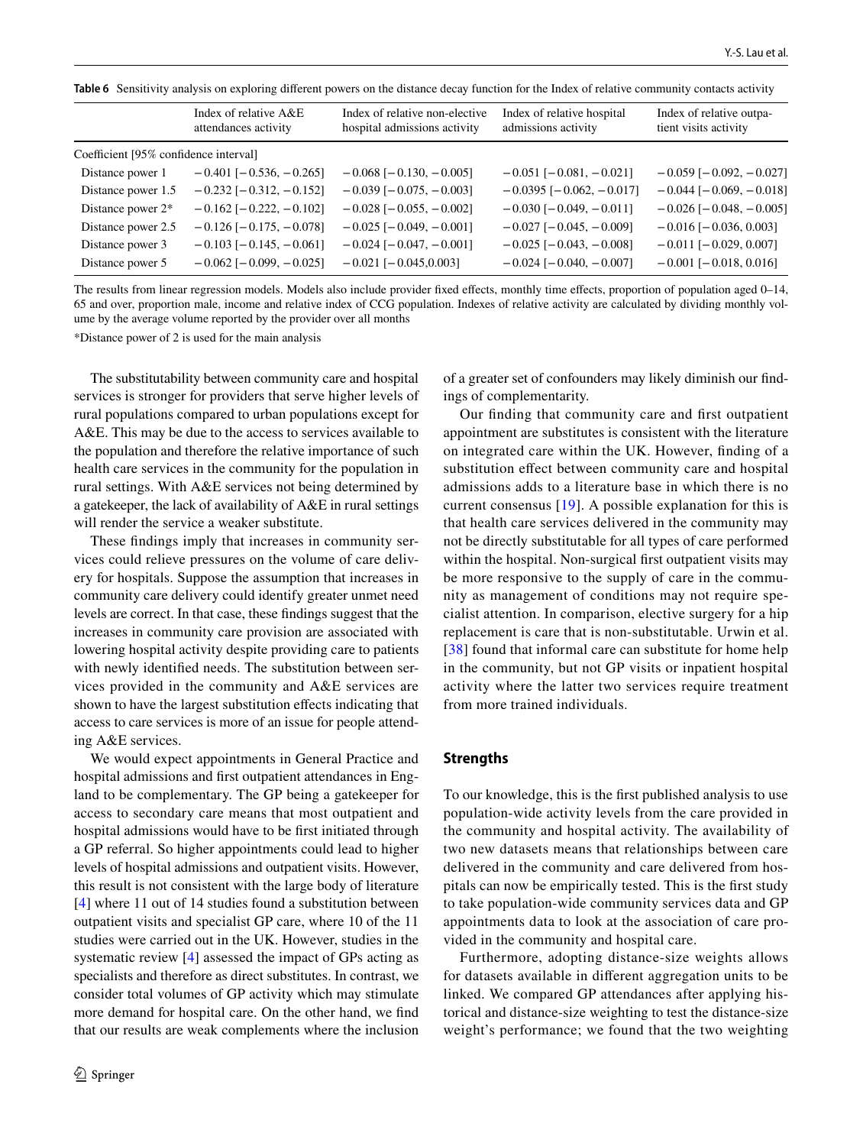<span id="page-11-0"></span>**Table 6** Sensitivity analysis on exploring diferent powers on the distance decay function for the Index of relative community contacts activity

|                                       | Index of relative $A & E$<br>attendances activity | Index of relative non-elective<br>hospital admissions activity | Index of relative hospital<br>admissions activity | Index of relative outpa-<br>tient visits activity |
|---------------------------------------|---------------------------------------------------|----------------------------------------------------------------|---------------------------------------------------|---------------------------------------------------|
| Coefficient [95% confidence interval] |                                                   |                                                                |                                                   |                                                   |
| Distance power 1                      | $-0.401$ [ $-0.536$ , $-0.265$ ]                  | $-0.068$ [ $-0.130, -0.005$ ]                                  | $-0.051$ [ $-0.081$ , $-0.021$ ]                  | $-0.059$ [ $-0.092, -0.027$ ]                     |
| Distance power 1.5                    | $-0.232$ [ $-0.312$ , $-0.152$ ]                  | $-0.039$ [ $-0.075$ , $-0.003$ ]                               | $-0.0395$ [ $-0.062, -0.017$ ]                    | $-0.044$ [ $-0.069$ , $-0.018$ ]                  |
| Distance power 2*                     | $-0.162$ [ $-0.222$ , $-0.102$ ]                  | $-0.028$ [ $-0.055$ , $-0.002$ ]                               | $-0.030$ [ $-0.049, -0.011$ ]                     | $-0.026$ [ $-0.048$ , $-0.005$ ]                  |
| Distance power 2.5                    | $-0.126$ [ $-0.175$ , $-0.078$ ]                  | $-0.025$ [ $-0.049$ , $-0.001$ ]                               | $-0.027$ [ $-0.045$ , $-0.009$ ]                  | $-0.016$ [ $-0.036$ , 0.003]                      |
| Distance power 3                      | $-0.103$ [ $-0.145$ , $-0.061$ ]                  | $-0.024$ [ $-0.047$ , $-0.001$ ]                               | $-0.025$ [ $-0.043$ , $-0.008$ ]                  | $-0.011$ [ $-0.029, 0.007$ ]                      |
| Distance power 5                      | $-0.062$ [ $-0.099, -0.025$ ]                     | $-0.021$ [ $-0.045, 0.003$ ]                                   | $-0.024$ [ $-0.040$ , $-0.007$ ]                  | $-0.001$ [ $-0.018$ , 0.016]                      |

The results from linear regression models. Models also include provider fixed effects, monthly time effects, proportion of population aged 0–14, 65 and over, proportion male, income and relative index of CCG population. Indexes of relative activity are calculated by dividing monthly volume by the average volume reported by the provider over all months

\*Distance power of 2 is used for the main analysis

The substitutability between community care and hospital services is stronger for providers that serve higher levels of rural populations compared to urban populations except for A&E. This may be due to the access to services available to the population and therefore the relative importance of such health care services in the community for the population in rural settings. With A&E services not being determined by a gatekeeper, the lack of availability of A&E in rural settings will render the service a weaker substitute.

These fndings imply that increases in community services could relieve pressures on the volume of care delivery for hospitals. Suppose the assumption that increases in community care delivery could identify greater unmet need levels are correct. In that case, these fndings suggest that the increases in community care provision are associated with lowering hospital activity despite providing care to patients with newly identifed needs. The substitution between services provided in the community and A&E services are shown to have the largest substitution efects indicating that access to care services is more of an issue for people attending A&E services.

We would expect appointments in General Practice and hospital admissions and frst outpatient attendances in England to be complementary. The GP being a gatekeeper for access to secondary care means that most outpatient and hospital admissions would have to be frst initiated through a GP referral. So higher appointments could lead to higher levels of hospital admissions and outpatient visits. However, this result is not consistent with the large body of literature [\[4](#page-13-3)] where 11 out of 14 studies found a substitution between outpatient visits and specialist GP care, where 10 of the 11 studies were carried out in the UK. However, studies in the systematic review [\[4](#page-13-3)] assessed the impact of GPs acting as specialists and therefore as direct substitutes. In contrast, we consider total volumes of GP activity which may stimulate more demand for hospital care. On the other hand, we fnd that our results are weak complements where the inclusion of a greater set of confounders may likely diminish our fndings of complementarity.

Our fnding that community care and frst outpatient appointment are substitutes is consistent with the literature on integrated care within the UK. However, fnding of a substitution efect between community care and hospital admissions adds to a literature base in which there is no current consensus [\[19\]](#page-14-1). A possible explanation for this is that health care services delivered in the community may not be directly substitutable for all types of care performed within the hospital. Non-surgical first outpatient visits may be more responsive to the supply of care in the community as management of conditions may not require specialist attention. In comparison, elective surgery for a hip replacement is care that is non-substitutable. Urwin et al. [[38\]](#page-14-20) found that informal care can substitute for home help in the community, but not GP visits or inpatient hospital activity where the latter two services require treatment from more trained individuals.

#### **Strengths**

To our knowledge, this is the frst published analysis to use population-wide activity levels from the care provided in the community and hospital activity. The availability of two new datasets means that relationships between care delivered in the community and care delivered from hospitals can now be empirically tested. This is the frst study to take population-wide community services data and GP appointments data to look at the association of care provided in the community and hospital care.

Furthermore, adopting distance-size weights allows for datasets available in diferent aggregation units to be linked. We compared GP attendances after applying historical and distance-size weighting to test the distance-size weight's performance; we found that the two weighting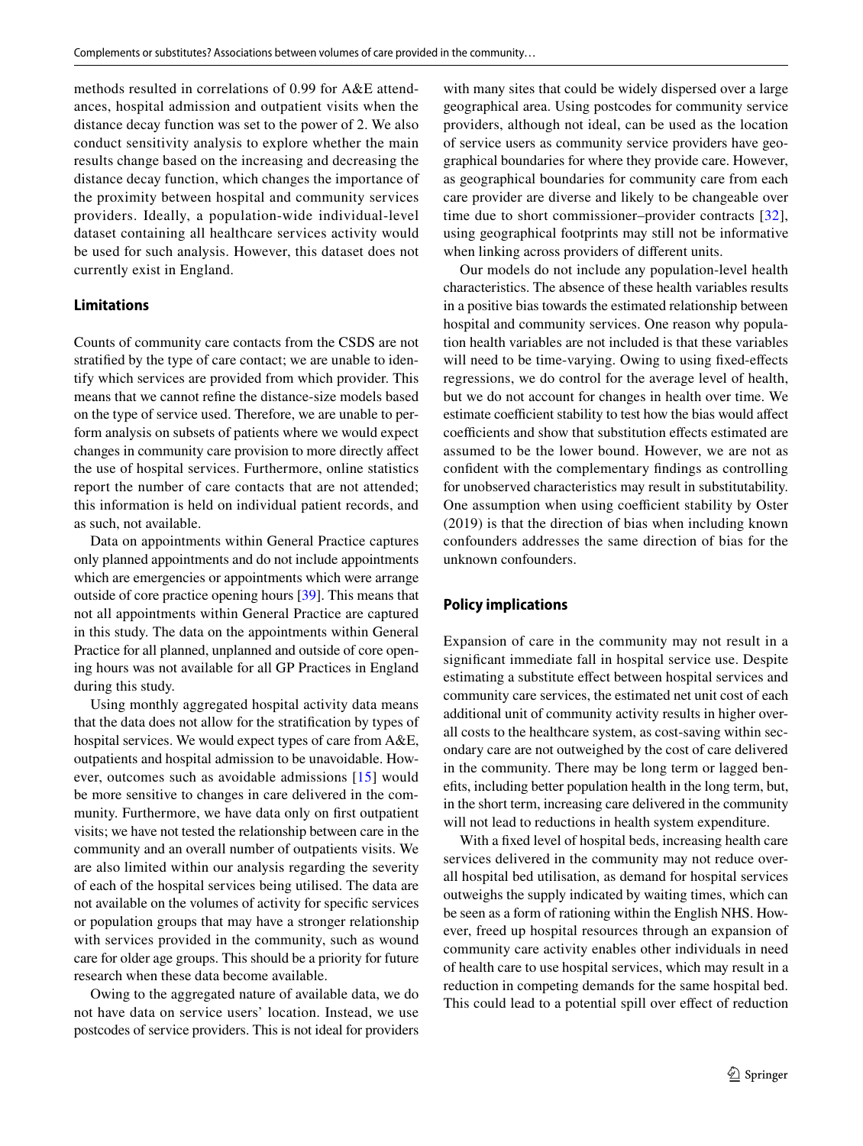methods resulted in correlations of 0.99 for A&E attendances, hospital admission and outpatient visits when the distance decay function was set to the power of 2. We also conduct sensitivity analysis to explore whether the main results change based on the increasing and decreasing the distance decay function, which changes the importance of the proximity between hospital and community services providers. Ideally, a population-wide individual-level dataset containing all healthcare services activity would be used for such analysis. However, this dataset does not currently exist in England.

#### **Limitations**

Counts of community care contacts from the CSDS are not stratifed by the type of care contact; we are unable to identify which services are provided from which provider. This means that we cannot refne the distance-size models based on the type of service used. Therefore, we are unable to perform analysis on subsets of patients where we would expect changes in community care provision to more directly afect the use of hospital services. Furthermore, online statistics report the number of care contacts that are not attended; this information is held on individual patient records, and as such, not available.

Data on appointments within General Practice captures only planned appointments and do not include appointments which are emergencies or appointments which were arrange outside of core practice opening hours [\[39](#page-14-21)]. This means that not all appointments within General Practice are captured in this study. The data on the appointments within General Practice for all planned, unplanned and outside of core opening hours was not available for all GP Practices in England during this study.

Using monthly aggregated hospital activity data means that the data does not allow for the stratifcation by types of hospital services. We would expect types of care from A&E, outpatients and hospital admission to be unavoidable. However, outcomes such as avoidable admissions [[15\]](#page-13-14) would be more sensitive to changes in care delivered in the community. Furthermore, we have data only on frst outpatient visits; we have not tested the relationship between care in the community and an overall number of outpatients visits. We are also limited within our analysis regarding the severity of each of the hospital services being utilised. The data are not available on the volumes of activity for specifc services or population groups that may have a stronger relationship with services provided in the community, such as wound care for older age groups. This should be a priority for future research when these data become available.

Owing to the aggregated nature of available data, we do not have data on service users' location. Instead, we use postcodes of service providers. This is not ideal for providers with many sites that could be widely dispersed over a large geographical area. Using postcodes for community service providers, although not ideal, can be used as the location of service users as community service providers have geographical boundaries for where they provide care. However, as geographical boundaries for community care from each care provider are diverse and likely to be changeable over time due to short commissioner–provider contracts [[32](#page-14-14)], using geographical footprints may still not be informative when linking across providers of diferent units.

Our models do not include any population-level health characteristics. The absence of these health variables results in a positive bias towards the estimated relationship between hospital and community services. One reason why population health variables are not included is that these variables will need to be time-varying. Owing to using fixed-effects regressions, we do control for the average level of health, but we do not account for changes in health over time. We estimate coefficient stability to test how the bias would affect coefficients and show that substitution effects estimated are assumed to be the lower bound. However, we are not as confdent with the complementary fndings as controlling for unobserved characteristics may result in substitutability. One assumption when using coefficient stability by Oster (2019) is that the direction of bias when including known confounders addresses the same direction of bias for the unknown confounders.

#### **Policy implications**

Expansion of care in the community may not result in a signifcant immediate fall in hospital service use. Despite estimating a substitute effect between hospital services and community care services, the estimated net unit cost of each additional unit of community activity results in higher overall costs to the healthcare system, as cost-saving within secondary care are not outweighed by the cost of care delivered in the community. There may be long term or lagged benefts, including better population health in the long term, but, in the short term, increasing care delivered in the community will not lead to reductions in health system expenditure.

With a fxed level of hospital beds, increasing health care services delivered in the community may not reduce overall hospital bed utilisation, as demand for hospital services outweighs the supply indicated by waiting times, which can be seen as a form of rationing within the English NHS. However, freed up hospital resources through an expansion of community care activity enables other individuals in need of health care to use hospital services, which may result in a reduction in competing demands for the same hospital bed. This could lead to a potential spill over effect of reduction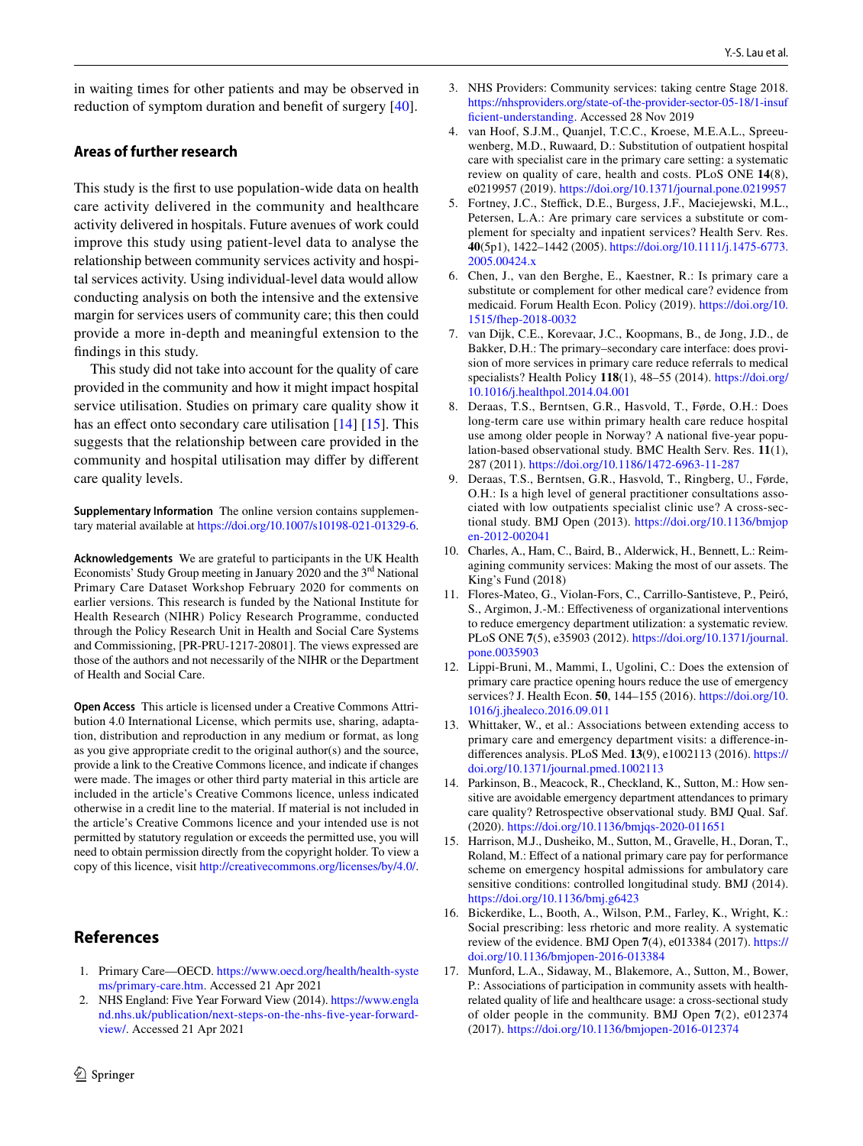in waiting times for other patients and may be observed in reduction of symptom duration and beneft of surgery [\[40\]](#page-14-22).

## **Areas of further research**

This study is the frst to use population-wide data on health care activity delivered in the community and healthcare activity delivered in hospitals. Future avenues of work could improve this study using patient-level data to analyse the relationship between community services activity and hospital services activity. Using individual-level data would allow conducting analysis on both the intensive and the extensive margin for services users of community care; this then could provide a more in-depth and meaningful extension to the fndings in this study.

This study did not take into account for the quality of care provided in the community and how it might impact hospital service utilisation. Studies on primary care quality show it has an effect onto secondary care utilisation [\[14\]](#page-13-13) [[15\]](#page-13-14). This suggests that the relationship between care provided in the community and hospital utilisation may difer by diferent care quality levels.

**Supplementary Information** The online version contains supplementary material available at<https://doi.org/10.1007/s10198-021-01329-6>.

**Acknowledgements** We are grateful to participants in the UK Health Economists' Study Group meeting in January 2020 and the  $3<sup>rd</sup>$  National Primary Care Dataset Workshop February 2020 for comments on earlier versions. This research is funded by the National Institute for Health Research (NIHR) Policy Research Programme, conducted through the Policy Research Unit in Health and Social Care Systems and Commissioning, [PR-PRU-1217-20801]. The views expressed are those of the authors and not necessarily of the NIHR or the Department of Health and Social Care.

**Open Access** This article is licensed under a Creative Commons Attribution 4.0 International License, which permits use, sharing, adaptation, distribution and reproduction in any medium or format, as long as you give appropriate credit to the original author(s) and the source, provide a link to the Creative Commons licence, and indicate if changes were made. The images or other third party material in this article are included in the article's Creative Commons licence, unless indicated otherwise in a credit line to the material. If material is not included in the article's Creative Commons licence and your intended use is not permitted by statutory regulation or exceeds the permitted use, you will need to obtain permission directly from the copyright holder. To view a copy of this licence, visit <http://creativecommons.org/licenses/by/4.0/>.

# **References**

- <span id="page-13-0"></span>1. Primary Care—OECD. [https://www.oecd.org/health/health-syste](https://www.oecd.org/health/health-systems/primary-care.htm) [ms/primary-care.htm.](https://www.oecd.org/health/health-systems/primary-care.htm) Accessed 21 Apr 2021
- <span id="page-13-1"></span>2. NHS England: Five Year Forward View (2014). [https://www.engla](https://www.england.nhs.uk/publication/next-steps-on-the-nhs-five-year-forward-view/) [nd.nhs.uk/publication/next-steps-on-the-nhs-fve-year-forward](https://www.england.nhs.uk/publication/next-steps-on-the-nhs-five-year-forward-view/)[view/.](https://www.england.nhs.uk/publication/next-steps-on-the-nhs-five-year-forward-view/) Accessed 21 Apr 2021
- <span id="page-13-2"></span>3. NHS Providers: Community services: taking centre Stage 2018. [https://nhsproviders.org/state-of-the-provider-sector-05-18/1-insuf](https://nhsproviders.org/state-of-the-provider-sector-05-18/1-insufficient-understanding) [fcient-understanding](https://nhsproviders.org/state-of-the-provider-sector-05-18/1-insufficient-understanding). Accessed 28 Nov 2019
- <span id="page-13-3"></span>4. van Hoof, S.J.M., Quanjel, T.C.C., Kroese, M.E.A.L., Spreeuwenberg, M.D., Ruwaard, D.: Substitution of outpatient hospital care with specialist care in the primary care setting: a systematic review on quality of care, health and costs. PLoS ONE **14**(8), e0219957 (2019).<https://doi.org/10.1371/journal.pone.0219957>
- <span id="page-13-4"></span>5. Fortney, J.C., Steffick, D.E., Burgess, J.F., Maciejewski, M.L., Petersen, L.A.: Are primary care services a substitute or complement for specialty and inpatient services? Health Serv. Res. **40**(5p1), 1422–1442 (2005). [https://doi.org/10.1111/j.1475-6773.](https://doi.org/10.1111/j.1475-6773.2005.00424.x) [2005.00424.x](https://doi.org/10.1111/j.1475-6773.2005.00424.x)
- <span id="page-13-5"></span>6. Chen, J., van den Berghe, E., Kaestner, R.: Is primary care a substitute or complement for other medical care? evidence from medicaid. Forum Health Econ. Policy (2019). [https://doi.org/10.](https://doi.org/10.1515/fhep-2018-0032) [1515/fhep-2018-0032](https://doi.org/10.1515/fhep-2018-0032)
- <span id="page-13-6"></span>7. van Dijk, C.E., Korevaar, J.C., Koopmans, B., de Jong, J.D., de Bakker, D.H.: The primary–secondary care interface: does provision of more services in primary care reduce referrals to medical specialists? Health Policy **118**(1), 48–55 (2014). [https://doi.org/](https://doi.org/10.1016/j.healthpol.2014.04.001) [10.1016/j.healthpol.2014.04.001](https://doi.org/10.1016/j.healthpol.2014.04.001)
- <span id="page-13-7"></span>8. Deraas, T.S., Berntsen, G.R., Hasvold, T., Førde, O.H.: Does long-term care use within primary health care reduce hospital use among older people in Norway? A national five-year population-based observational study. BMC Health Serv. Res. **11**(1), 287 (2011).<https://doi.org/10.1186/1472-6963-11-287>
- <span id="page-13-8"></span>9. Deraas, T.S., Berntsen, G.R., Hasvold, T., Ringberg, U., Førde, O.H.: Is a high level of general practitioner consultations associated with low outpatients specialist clinic use? A cross-sectional study. BMJ Open (2013). [https://doi.org/10.1136/bmjop](https://doi.org/10.1136/bmjopen-2012-002041) [en-2012-002041](https://doi.org/10.1136/bmjopen-2012-002041)
- <span id="page-13-9"></span>10. Charles, A., Ham, C., Baird, B., Alderwick, H., Bennett, L.: Reimagining community services: Making the most of our assets. The King's Fund (2018)
- <span id="page-13-10"></span>11. Flores-Mateo, G., Violan-Fors, C., Carrillo-Santisteve, P., Peiró, S., Argimon, J.-M.: Efectiveness of organizational interventions to reduce emergency department utilization: a systematic review. PLoS ONE **7**(5), e35903 (2012). [https://doi.org/10.1371/journal.](https://doi.org/10.1371/journal.pone.0035903) [pone.0035903](https://doi.org/10.1371/journal.pone.0035903)
- <span id="page-13-11"></span>12. Lippi-Bruni, M., Mammi, I., Ugolini, C.: Does the extension of primary care practice opening hours reduce the use of emergency services? J. Health Econ. **50**, 144–155 (2016). [https://doi.org/10.](https://doi.org/10.1016/j.jhealeco.2016.09.011) [1016/j.jhealeco.2016.09.011](https://doi.org/10.1016/j.jhealeco.2016.09.011)
- <span id="page-13-12"></span>13. Whittaker, W., et al.: Associations between extending access to primary care and emergency department visits: a diference-indiferences analysis. PLoS Med. **13**(9), e1002113 (2016). [https://](https://doi.org/10.1371/journal.pmed.1002113) [doi.org/10.1371/journal.pmed.1002113](https://doi.org/10.1371/journal.pmed.1002113)
- <span id="page-13-13"></span>14. Parkinson, B., Meacock, R., Checkland, K., Sutton, M.: How sensitive are avoidable emergency department attendances to primary care quality? Retrospective observational study. BMJ Qual. Saf. (2020).<https://doi.org/10.1136/bmjqs-2020-011651>
- <span id="page-13-14"></span>15. Harrison, M.J., Dusheiko, M., Sutton, M., Gravelle, H., Doran, T., Roland, M.: Effect of a national primary care pay for performance scheme on emergency hospital admissions for ambulatory care sensitive conditions: controlled longitudinal study. BMJ (2014). <https://doi.org/10.1136/bmj.g6423>
- <span id="page-13-15"></span>16. Bickerdike, L., Booth, A., Wilson, P.M., Farley, K., Wright, K.: Social prescribing: less rhetoric and more reality. A systematic review of the evidence. BMJ Open **7**(4), e013384 (2017). [https://](https://doi.org/10.1136/bmjopen-2016-013384) [doi.org/10.1136/bmjopen-2016-013384](https://doi.org/10.1136/bmjopen-2016-013384)
- <span id="page-13-16"></span>17. Munford, L.A., Sidaway, M., Blakemore, A., Sutton, M., Bower, P.: Associations of participation in community assets with healthrelated quality of life and healthcare usage: a cross-sectional study of older people in the community. BMJ Open **7**(2), e012374 (2017).<https://doi.org/10.1136/bmjopen-2016-012374>